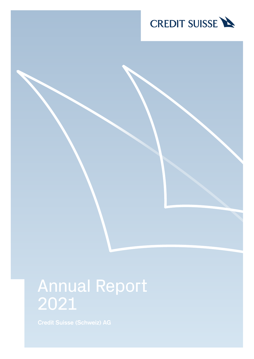

# Annual Report 2021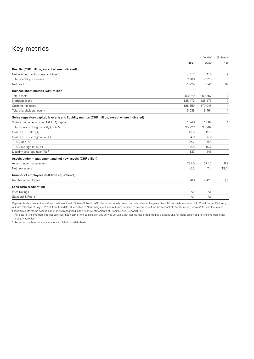### Key metrics

| 2020<br>2021<br>Results (CHF million, except where indicated)<br>Net income from business activities <sup>1</sup><br>4,812<br>4,410<br>2,780<br>2,778<br>Total operating expenses<br>Net profit<br>1.274<br>641<br>Balance sheet metrics (CHF million)<br>Total assets<br>253,370<br>250,367<br>138,175<br>Mortgage loans<br>138,472<br>Customer deposits<br>186,859<br>179,946<br>Total shareholders' equity<br>13,538<br>13,464<br>Swiss regulatory capital, leverage and liquidity metrics (CHF million, except where indicated)<br>Swiss common equity tier 1 (CET1) capital<br>11,948<br>11,884<br>Total loss-absorbing capacity (TLAC)<br>25,272<br>25,209<br>Swiss CET1 ratio (%)<br>12.6<br>12.6<br>Swiss CET1 leverage ratio (%)<br>4.2<br>5.2<br>26.7<br>26.8<br>TLAC leverage ratio (%)<br>8.8<br>10.2<br>Liquidity coverage ratio $(\%)^2$<br>137<br>143<br>Assets under management and net new assets (CHF billion)<br>731.0<br>671.2<br>Assets under management<br>Net new assets<br>6.5<br>7.4<br>Number of employees (full-time equivalents)<br>7,470<br>Number of employees<br>7,280<br>Long-term credit rating<br><b>Fitch Ratings</b><br>$A+$<br>$A+$<br>Standard & Poor's<br>$A+$<br>$A+$ |  | in / end of |                          |
|---------------------------------------------------------------------------------------------------------------------------------------------------------------------------------------------------------------------------------------------------------------------------------------------------------------------------------------------------------------------------------------------------------------------------------------------------------------------------------------------------------------------------------------------------------------------------------------------------------------------------------------------------------------------------------------------------------------------------------------------------------------------------------------------------------------------------------------------------------------------------------------------------------------------------------------------------------------------------------------------------------------------------------------------------------------------------------------------------------------------------------------------------------------------------------------------------------------|--|-------------|--------------------------|
|                                                                                                                                                                                                                                                                                                                                                                                                                                                                                                                                                                                                                                                                                                                                                                                                                                                                                                                                                                                                                                                                                                                                                                                                               |  |             | YoY                      |
|                                                                                                                                                                                                                                                                                                                                                                                                                                                                                                                                                                                                                                                                                                                                                                                                                                                                                                                                                                                                                                                                                                                                                                                                               |  |             |                          |
| TLAC ratio (%)                                                                                                                                                                                                                                                                                                                                                                                                                                                                                                                                                                                                                                                                                                                                                                                                                                                                                                                                                                                                                                                                                                                                                                                                |  |             | 9                        |
|                                                                                                                                                                                                                                                                                                                                                                                                                                                                                                                                                                                                                                                                                                                                                                                                                                                                                                                                                                                                                                                                                                                                                                                                               |  |             | $\circ$                  |
|                                                                                                                                                                                                                                                                                                                                                                                                                                                                                                                                                                                                                                                                                                                                                                                                                                                                                                                                                                                                                                                                                                                                                                                                               |  |             | 99                       |
|                                                                                                                                                                                                                                                                                                                                                                                                                                                                                                                                                                                                                                                                                                                                                                                                                                                                                                                                                                                                                                                                                                                                                                                                               |  |             |                          |
|                                                                                                                                                                                                                                                                                                                                                                                                                                                                                                                                                                                                                                                                                                                                                                                                                                                                                                                                                                                                                                                                                                                                                                                                               |  |             | $\overline{1}$           |
|                                                                                                                                                                                                                                                                                                                                                                                                                                                                                                                                                                                                                                                                                                                                                                                                                                                                                                                                                                                                                                                                                                                                                                                                               |  |             | 0                        |
|                                                                                                                                                                                                                                                                                                                                                                                                                                                                                                                                                                                                                                                                                                                                                                                                                                                                                                                                                                                                                                                                                                                                                                                                               |  |             | $\overline{4}$           |
|                                                                                                                                                                                                                                                                                                                                                                                                                                                                                                                                                                                                                                                                                                                                                                                                                                                                                                                                                                                                                                                                                                                                                                                                               |  |             | $\mathbf{1}$             |
|                                                                                                                                                                                                                                                                                                                                                                                                                                                                                                                                                                                                                                                                                                                                                                                                                                                                                                                                                                                                                                                                                                                                                                                                               |  |             |                          |
|                                                                                                                                                                                                                                                                                                                                                                                                                                                                                                                                                                                                                                                                                                                                                                                                                                                                                                                                                                                                                                                                                                                                                                                                               |  |             | -1                       |
|                                                                                                                                                                                                                                                                                                                                                                                                                                                                                                                                                                                                                                                                                                                                                                                                                                                                                                                                                                                                                                                                                                                                                                                                               |  |             | $\circ$                  |
|                                                                                                                                                                                                                                                                                                                                                                                                                                                                                                                                                                                                                                                                                                                                                                                                                                                                                                                                                                                                                                                                                                                                                                                                               |  |             |                          |
|                                                                                                                                                                                                                                                                                                                                                                                                                                                                                                                                                                                                                                                                                                                                                                                                                                                                                                                                                                                                                                                                                                                                                                                                               |  |             | $\overline{\phantom{0}}$ |
|                                                                                                                                                                                                                                                                                                                                                                                                                                                                                                                                                                                                                                                                                                                                                                                                                                                                                                                                                                                                                                                                                                                                                                                                               |  |             |                          |
|                                                                                                                                                                                                                                                                                                                                                                                                                                                                                                                                                                                                                                                                                                                                                                                                                                                                                                                                                                                                                                                                                                                                                                                                               |  |             |                          |
|                                                                                                                                                                                                                                                                                                                                                                                                                                                                                                                                                                                                                                                                                                                                                                                                                                                                                                                                                                                                                                                                                                                                                                                                               |  |             |                          |
|                                                                                                                                                                                                                                                                                                                                                                                                                                                                                                                                                                                                                                                                                                                                                                                                                                                                                                                                                                                                                                                                                                                                                                                                               |  |             |                          |
|                                                                                                                                                                                                                                                                                                                                                                                                                                                                                                                                                                                                                                                                                                                                                                                                                                                                                                                                                                                                                                                                                                                                                                                                               |  |             | 8.9                      |
|                                                                                                                                                                                                                                                                                                                                                                                                                                                                                                                                                                                                                                                                                                                                                                                                                                                                                                                                                                                                                                                                                                                                                                                                               |  |             | (12.2)                   |
|                                                                                                                                                                                                                                                                                                                                                                                                                                                                                                                                                                                                                                                                                                                                                                                                                                                                                                                                                                                                                                                                                                                                                                                                               |  |             |                          |
|                                                                                                                                                                                                                                                                                                                                                                                                                                                                                                                                                                                                                                                                                                                                                                                                                                                                                                                                                                                                                                                                                                                                                                                                               |  |             | (3)                      |
|                                                                                                                                                                                                                                                                                                                                                                                                                                                                                                                                                                                                                                                                                                                                                                                                                                                                                                                                                                                                                                                                                                                                                                                                               |  |             |                          |
|                                                                                                                                                                                                                                                                                                                                                                                                                                                                                                                                                                                                                                                                                                                                                                                                                                                                                                                                                                                                                                                                                                                                                                                                               |  |             |                          |
|                                                                                                                                                                                                                                                                                                                                                                                                                                                                                                                                                                                                                                                                                                                                                                                                                                                                                                                                                                                                                                                                                                                                                                                                               |  |             |                          |

Represents standalone financial information of Credit Suisse (Schweiz) AG. The former wholly owned subsidiary Neue Aargauer Bank AG was fully integrated into Credit Suisse (Schweiz) AG with effect as of July 1, 2020; from that date, all activities of Neue Aargauer Bank AG were deemed to be carried out for the account of Credit Suisse (Schweiz) AG and the related financial results for the second half of 2020 recognized in the financial statements of Credit Suisse (Schweiz) AG.

**1** Reflects net income from interest activities, net income from commission and service activities, net income/(loss) from trading activities and fair value option and net income from other ordinary activities.

**2** Represents a three-month average, calculated on a daily basis.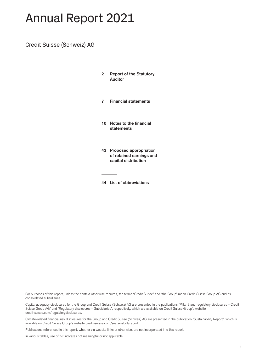## Annual Report 2021

Credit Suisse (Schweiz) AG

- **2 [Report of the Statutory](#page-3-0)  [Auditor](#page-3-0)**
- **7 [Financial statements](#page-8-0)**
- **[10 Notes](#page-11-0) to the financial [statements](#page-11-0)**
- **43 [Proposed appropriation](#page-44-0)  [of retained earnings and](#page-44-0)  [capital distribution](#page-44-0)**
- **44 [List of abbreviations](#page-45-0)**

For purposes of this report, unless the context otherwise requires, the terms "Credit Suisse" and "the Group" mean Credit Suisse Group AG and its consolidated subsidiaries.

Capital adequacy disclosures for the Group and Credit Suisse (Schweiz) AG are presented in the publications "Pillar 3 and regulatory disclosures – Credit Suisse Group AG" and "Regulatory disclosures – Subsidiaries", respectively, which are available on Credit Suisse Group's website credit-suisse.com/regulatorydisclosures.

Climate-related financial risk disclosures for the Group and Credit Suisse (Schweiz) AG are presented in the publication "Sustainability Report", which is available on Credit Suisse Group's website credit-suisse.com/sustainabilityreport.

Publications referenced in this report, whether via website links or otherwise, are not incorporated into this report.

In various tables, use of "–" indicates not meaningful or not applicable.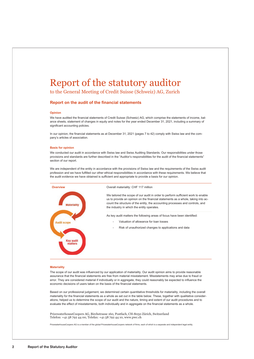## <span id="page-3-0"></span>Report of the statutory auditor

to the General Meeting of Credit Suisse (Schweiz) AG, Zurich

#### **Report on the audit of the financial statements**

#### **Opinion**

We have audited the financial statements of Credit Suisse (Schweiz) AG, which comprise the statements of income, balance sheets, statement of changes in equity and notes for the year ended December 31, 2021, including a summary of significant accounting policies.

In our opinion, the financial statements as at December 31, 2021 (pages 7 to 42) comply with Swiss law and the company's articles of association.

#### **Basis for opinion**

We conducted our audit in accordance with Swiss law and Swiss Auditing Standards. Our responsibilities under those provisions and standards are further described in the "Auditor's responsibilities for the audit of the financial statements" section of our report.

We are independent of the entity in accordance with the provisions of Swiss law and the requirements of the Swiss audit profession and we have fulfilled our other ethical responsibilities in accordance with these requirements. We believe that the audit evidence we have obtained is sufficient and appropriate to provide a basis for our opinion.



#### **Materiality**

The scope of our audit was influenced by our application of materiality. Our audit opinion aims to provide reasonable assurance that the financial statements are free from material misstatement. Misstatements may arise due to fraud or error. They are considered material if individually or in aggregate, they could reasonably be expected to influence the economic decisions of users taken on the basis of the financial statements.

Based on our professional judgement, we determined certain quantitative thresholds for materiality, including the overall materiality for the financial statements as a whole as set out in the table below. These, together with qualitative considerations, helped us to determine the scope of our audit and the nature, timing and extent of our audit procedures and to evaluate the effect of misstatements, both individually and in aggregate on the financial statements as a whole.

PricewaterhouseCoopers AG, Birchstrasse 160, Postfach, CH-8050 Zürich, Switzerland Telefon: +41 58 792 44 00, Telefax: +41 58 792 44 10, www.pwc.ch

PricewaterhouseCoopers AG is a member of the global PricewaterhouseCoopers network of firms, each of which is a separate and independent legal entity.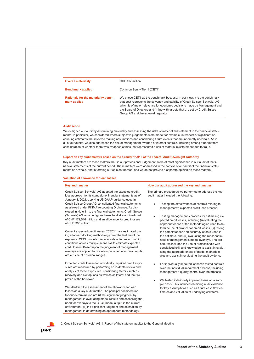| <b>Overall materiality</b>                           | CHF 117 million                                                                                                                                                                                                                                                                                                                                                  |
|------------------------------------------------------|------------------------------------------------------------------------------------------------------------------------------------------------------------------------------------------------------------------------------------------------------------------------------------------------------------------------------------------------------------------|
| <b>Benchmark applied</b>                             | Common Equity Tier 1 (CET1)                                                                                                                                                                                                                                                                                                                                      |
| Rationale for the materiality bench-<br>mark applied | We chose CET1 as the benchmark because, in our view, it is the benchmark<br>that best represents the solvency and stability of Credit Suisse (Schweiz) AG.<br>which is of major relevance for economic decisions made by Management and<br>the Board of Directors and in line with targets that are set by Credit Suisse<br>Group AG and the external regulator. |

#### **Audit scope**

We designed our audit by determining materiality and assessing the risks of material misstatement in the financial statements. In particular, we considered where subjective judgements were made; for example, in respect of significant accounting estimates that involved making assumptions and considering future events that are inherently uncertain. As in all of our audits, we also addressed the risk of management override of internal controls, including among other matters consideration of whether there was evidence of bias that represented a risk of material misstatement due to fraud.

#### **Report on key audit matters based on the circular 1/2015 of the Federal Audit Oversight Authority**

Key audit matters are those matters that, in our professional judgement, were of most significance in our audit of the financial statements of the current period. These matters were addressed in the context of our audit of the financial statements as a whole, and in forming our opinion thereon, and we do not provide a separate opinion on these matters.

#### **Valuation of allowance for loan losses**

| <b>Key audit matter</b>                                                                                                                                                                                                                                                                                                                                                                                   | How our audit addressed the key audit matter                                                                                                                                                                                                                                                                                                                                                                                 |
|-----------------------------------------------------------------------------------------------------------------------------------------------------------------------------------------------------------------------------------------------------------------------------------------------------------------------------------------------------------------------------------------------------------|------------------------------------------------------------------------------------------------------------------------------------------------------------------------------------------------------------------------------------------------------------------------------------------------------------------------------------------------------------------------------------------------------------------------------|
| Credit Suisse (Schweiz) AG adopted the expected credit<br>loss approach for its standalone financial statements as of<br>January 1, 2021, applying US GAAP guidance used in                                                                                                                                                                                                                               | The primary procedures we performed to address the key<br>audit matter included the following:                                                                                                                                                                                                                                                                                                                               |
| Credit Suisse Group AG consolidated financial statements<br>as allowed under FINMA Accounting Ordinance. As dis-<br>closed in Note 11 to the financial statements. Credit Suisse                                                                                                                                                                                                                          | Testing the effectiveness of controls relating to<br>٠<br>management's expected credit loss process.                                                                                                                                                                                                                                                                                                                         |
| (Schweiz) AG recorded gross loans held at amortized cost<br>of CHF 172,546 million and an allowance for credit losses<br>of CHF 363 million.                                                                                                                                                                                                                                                              | Testing management's process for estimating ex-<br>٠<br>pected credit losses, including (i) evaluating the<br>appropriateness of the methodologies used to de-                                                                                                                                                                                                                                                               |
| Current expected credit losses ("CECL") are estimated us-<br>ing a forward-looking methodology over the lifetime of the<br>exposure. CECL models use forecasts of future economic<br>conditions across multiple scenarios to estimate expected<br>credit losses. Based upon the judgment of management,<br>overlays are applied to model output when economic inputs<br>are outside of historical ranges. | termine the allowance for credit losses, (ii) testing<br>the completeness and accuracy of data used in<br>the estimate, and (iii) evaluating the reasonable-<br>ness of management's model overlays. The pro-<br>cedures included the use of professionals with<br>specialized skill and knowledge to assist in evalu-<br>ating the appropriateness of model methodolo-<br>gies and assist in evaluating the audit evidence. |
| Expected credit losses for individually impaired credit expo-<br>sures are measured by performing an in-depth review and<br>analysis of these exposures, considering factors such as<br>recovery and exit options as well as collateral and the risk<br>profile of the borrower.                                                                                                                          | For individually impaired loans we tested controls<br>٠<br>over the individual impairment process, including<br>management's quality control over the process.<br>We tested individually impaired loans on a sam-<br>٠                                                                                                                                                                                                       |
| We identified the assessment of the allowance for loan<br>losses as a key audit matter. The principal consideration<br>for our determination are (i) the significant judgment by<br>management in evaluating model results and assessing the<br>need for overlays to the CECL model output in the current<br>environment, (ii) the significant judgment and estimation by                                 | ple basis. This included obtaining audit evidence<br>for key assumptions such as future cash flow es-<br>timates and valuation of underlying collateral.                                                                                                                                                                                                                                                                     |



2 Credit Suisse (Schweiz) AG | Report of the statutory auditor to the General Meeting

management in determining an appropriate methodology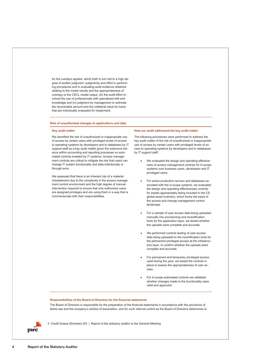for the overlays applied, which both in turn led to a high degree of auditor judgment, subjectivity and effort in performing procedures and in evaluating audit evidence obtained relating to the model results and the appropriateness of overlays to the CECL model output, (iii) the audit effort involved the use of professionals with specialized skill and knowledge and (iv) judgment by management to estimate the recoverable amount and the collateral value for loans that are individually evaluated for impairment.

#### **Risk of unauthorized changes to applications and data**

We identified the risk of unauthorized or inappropriate use of access by certain users with privileged levels of access to operating systems by developers and to databases by IT support staff as a key audit matter given the extensive reliance within accounting and reporting processes on automated controls enabled by IT systems. Access management controls are critical to mitigate the risk that users can change IT system functionality and data intentionally or through error.

We assessed that there is an inherent risk of a material misstatement due to the complexity in the access management control environment and the high degree of manual intervention required to ensure that only authorized users are assigned privileges and are using them in a way that is commensurate with their responsibilities.

#### **Key audit matter How our audit addressed the key audit matter**

The following procedures were performed to address the key audit matter of the risk of unauthorized or inappropriate use of access by certain users with privileged levels of access to operating systems by developers and to databases by IT support staff:

- We evaluated the design and operating effectiveness of access management controls for in-scope systems over business users, developers and IT privileged users.
- For active production servers and databases associated with the in-scope systems, we evaluated the design and operating effectiveness controls for assets appropriately being included in the CS global asset inventory, which forms the basis of the access and change management control landscape.
- For a sample of user access data being uploaded manually into provisioning and recertification tools for the application layer, we tested whether the uploads were complete and accurate.
- We performed controls testing of user access data being uploaded to the recertification tools for the permanent privileged access at the infrastructure layer, to confirm whether the uploads were complete and accurate.
- For permanent and temporary privileged access used during the year, we tested the controls in place to assess the appropriateness of user access.
- For in-scope automated controls we validated whether changes made to the functionality were valid and approved.

#### **Responsibilities of the Board of Directors for the financial statements**

The Board of Directors is responsible for the preparation of the financial statements in accordance with the provisions of Swiss law and the company's articles of association, and for such internal control as the Board of Directors determines is



3 Credit Suisse (Schweiz) AG | Report of the statutory auditor to the General Meeting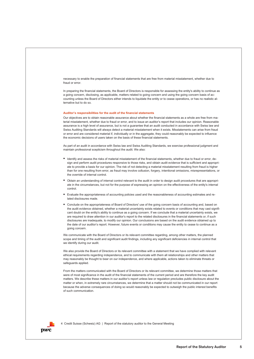necessary to enable the preparation of financial statements that are free from material misstatement, whether due to fraud or error.

In preparing the financial statements, the Board of Directors is responsible for assessing the entity's ability to continue as a going concern, disclosing, as applicable, matters related to going concern and using the going concern basis of accounting unless the Board of Directors either intends to liquidate the entity or to cease operations, or has no realistic alternative but to do so.

#### **Auditor's responsibilities for the audit of the financial statements**

Our objectives are to obtain reasonable assurance about whether the financial statements as a whole are free from material misstatement, whether due to fraud or error, and to issue an auditor's report that includes our opinion. Reasonable assurance is a high level of assurance, but is not a guarantee that an audit conducted in accordance with Swiss law and Swiss Auditing Standards will always detect a material misstatement when it exists. Misstatements can arise from fraud or error and are considered material if, individually or in the aggregate, they could reasonably be expected to influence the economic decisions of users taken on the basis of these financial statements.

As part of an audit in accordance with Swiss law and Swiss Auditing Standards, we exercise professional judgment and maintain professional scepticism throughout the audit. We also:

- Identify and assess the risks of material misstatement of the financial statements, whether due to fraud or error, design and perform audit procedures responsive to those risks, and obtain audit evidence that is sufficient and appropriate to provide a basis for our opinion. The risk of not detecting a material misstatement resulting from fraud is higher than for one resulting from error, as fraud may involve collusion, forgery, intentional omissions, misrepresentations, or the override of internal control.
- Obtain an understanding of internal control relevant to the audit in order to design audit procedures that are appropriate in the circumstances, but not for the purpose of expressing an opinion on the effectiveness of the entity's internal control.
- Evaluate the appropriateness of accounting policies used and the reasonableness of accounting estimates and related disclosures made.
- Conclude on the appropriateness of Board of Directors' use of the going concern basis of accounting and, based on the audit evidence obtained, whether a material uncertainty exists related to events or conditions that may cast significant doubt on the entity's ability to continue as a going concern. If we conclude that a material uncertainty exists, we are required to draw attention in our auditor's report to the related disclosures in the financial statements or, if such disclosures are inadequate, to modify our opinion. Our conclusions are based on the audit evidence obtained up to the date of our auditor's report. However, future events or conditions may cause the entity to cease to continue as a going concern.

We communicate with the Board of Directors or its relevant committee regarding, among other matters, the planned scope and timing of the audit and significant audit findings, including any significant deficiencies in internal control that we identify during our audit.

We also provide the Board of Directors or its relevant committee with a statement that we have complied with relevant ethical requirements regarding independence, and to communicate with them all relationships and other matters that may reasonably be thought to bear on our independence, and where applicable, actions taken to eliminate threats or safeguards applied.

From the matters communicated with the Board of Directors or its relevant committee, we determine those matters that were of most significance in the audit of the financial statements of the current period and are therefore the key audit matters. We describe these matters in our auditor's report unless law or regulation precludes public disclosure about the matter or when, in extremely rare circumstances, we determine that a matter should not be communicated in our report because the adverse consequences of doing so would reasonably be expected to outweigh the public interest benefits of such communication.



4 Credit Suisse (Schweiz) AG | Report of the statutory auditor to the General Meeting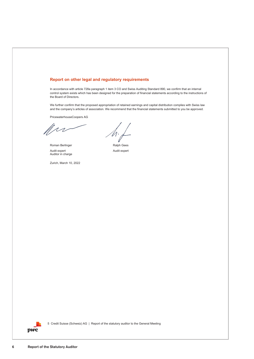#### **Report on other legal and regulatory requirements**

In accordance with article 728a paragraph 1 item 3 CO and Swiss Auditing Standard 890, we confirm that an internal control system exists which has been designed for the preparation of financial statements according to the instructions of the Board of Directors.

We further confirm that the proposed appropriation of retained earnings and capital distribution complies with Swiss law and the company's articles of association. We recommend that the financial statements submitted to you be approved.

PricewaterhouseCoopers AG

Mrr

Roman Berlinger **Ralph Gees** Audit expert Auditor in charge

Zurich, March 10, 2022

Audit expert



5 Credit Suisse (Schweiz) AG | Report of the statutory auditor to the General Meeting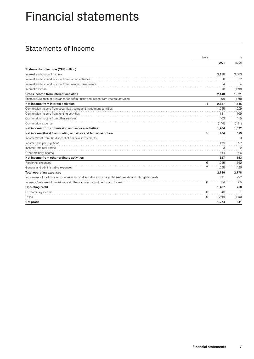## <span id="page-8-0"></span>Financial statements

### Statements of income

|                                                                                                            | Note |          | in    |
|------------------------------------------------------------------------------------------------------------|------|----------|-------|
|                                                                                                            |      | 2021     | 2020  |
| Statements of income (CHF million)                                                                         |      |          |       |
| Interest and discount income                                                                               |      | 2.118    | 2,083 |
| Interest and dividend income from trading activities                                                       |      | $\Omega$ | 12    |
| Interest and dividend income from financial investments                                                    |      | 4        | 4     |
| Interest expense                                                                                           |      | 18       | (178) |
| Gross income from interest activities                                                                      |      | 2,140    | 1,921 |
| (Increase)/release of allowance for default risks and losses from interest activities                      |      | (3)      | (175) |
| Net income from interest activities                                                                        | 4    | 2,137    | 1,746 |
| Commission income from securities trading and investment activities                                        |      | 1.645    | 1.529 |
| Commission income from lending activities                                                                  |      | 181      | 169   |
| Commission income from other services                                                                      |      | 402      | 415   |
| Commission expense                                                                                         |      | (444)    | (421) |
| Net income from commission and service activities                                                          |      | 1,784    | 1,692 |
| Net income/(loss) from trading activities and fair value option                                            | 5    | 264      | 319   |
| Income/(loss) from the disposal of financial investments                                                   |      |          | 3     |
| Income from participations                                                                                 |      | 179      | 322   |
| Income from real estate                                                                                    |      | 3        | ヮ     |
| Other ordinary income                                                                                      |      | 444      | 326   |
| Net income from other ordinary activities                                                                  |      | 627      | 653   |
| Personnel expenses                                                                                         | 6    | 1.255    | 1,352 |
| General and administrative expenses                                                                        | 7    | 1.525    | 1,426 |
| <b>Total operating expenses</b>                                                                            |      | 2,780    | 2,778 |
| Impairment of participations, depreciation and amortization of tangible fixed assets and intangible assets |      | 511      | 797   |
| Increase/(release) of provisions and other valuation adjustments, and losses                               | 8    | 34       | 85    |
| Operating profit                                                                                           |      | 1,487    | 750   |
| Extraordinary income                                                                                       | 8    | 43       |       |
| Taxes                                                                                                      | 9    | (256)    | (110) |
| Net profit                                                                                                 |      | 1,274    | 641   |
|                                                                                                            |      |          |       |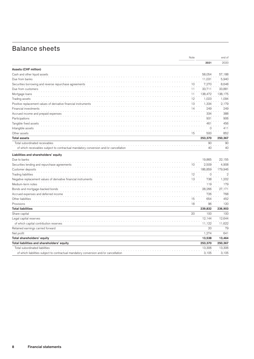### Balance sheets

|                                                                                      | Note            |          | end of         |
|--------------------------------------------------------------------------------------|-----------------|----------|----------------|
|                                                                                      |                 | 2021     | 2020           |
| Assets (CHF million)                                                                 |                 |          |                |
| Cash and other liquid assets                                                         |                 | 58,054   | 57,188         |
| Due from banks                                                                       |                 | 11,031   | 5,940          |
| Securities borrowing and reverse repurchase agreements                               | 10              | 7,270    | 8,648          |
| Due from customers                                                                   | 11              | 33,711   | 33,881         |
| Mortgage loans                                                                       | 11              | 138,472  | 138.175        |
| Trading assets                                                                       | 12              | 1,023    | 1,094          |
| Positive replacement values of derivative financial instruments                      | 13              | 1,334    | 2,179          |
| Financial investments                                                                | 14              | 249      | 249            |
| Accrued income and prepaid expenses                                                  |                 | 334      | 388            |
| Participations                                                                       |                 | 931      | 906            |
| Tangible fixed assets                                                                |                 | 461      | 456            |
| Intangible assets                                                                    |                 | $\Omega$ | 411            |
| Other assets                                                                         | 15              | 500      | 852            |
| <b>Total assets</b>                                                                  |                 | 253,370  | 250,367        |
| Total subordinated receivables                                                       |                 | 90       | 90             |
| of which receivables subject to contractual mandatory conversion and/or cancellation |                 | 40       | 40             |
| Liabilities and shareholders' equity                                                 |                 |          |                |
| Due to banks                                                                         |                 | 19,865   | 22,155         |
| Securities lending and repurchase agreements                                         | 10              | 2,509    | 4,908          |
| Customer deposits                                                                    |                 | 186,859  | 179,946        |
| <b>Trading liabilities</b>                                                           | 12              | $\Omega$ | $\overline{2}$ |
| Negative replacement values of derivative financial instruments                      | $\overline{13}$ | 738      | 1,202          |
| Medium-term notes                                                                    |                 | 119      | 179            |
| Bonds and mortgage-backed bonds                                                      |                 | 28,266   | 27,171         |
| Accrued expenses and deferred income                                                 |                 | 726      | 768            |
| Other liabilities                                                                    | 15              | 654      | 452            |
| Provisions                                                                           | 18              | 96       | 120            |
| <b>Total liabilities</b>                                                             |                 | 239,832  | 236,903        |
| Share capital                                                                        | 20              | 100      | 100            |
| Legal capital reserves                                                               |                 | 12,144   | 12,644         |
| of which capital contribution reserves                                               |                 | 11,122   | 11,622         |
| Retained earnings carried forward                                                    |                 | 20       | 79             |
| Net profit                                                                           |                 | 1,274    | 641            |
| Total shareholders' equity                                                           |                 | 13,538   | 13,464         |
| Total liabilities and shareholders' equity                                           |                 | 253,370  | 250,367        |
| Total subordinated liabilities                                                       |                 | 13,306   | 13,306         |
| of which liabilities subject to contractual mandatory conversion and/or cancellation |                 | 3,105    | 3,105          |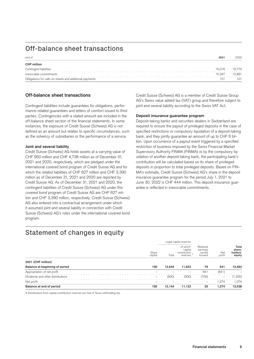### Off-balance sheet transactions

| end of                                                  | 2021   | 2020   |
|---------------------------------------------------------|--------|--------|
| <b>CHF</b> million                                      |        |        |
| Contingent liabilities                                  | 15.016 | 16.774 |
| Irrevocable commitments                                 | 15.347 | 12.891 |
| Obligations for calls on shares and additional payments | 101    | 101    |

#### **Off-balance sheet transactions**

Contingent liabilities include guarantees for obligations, performance-related guarantees and letters of comfort issued to third parties. Contingencies with a stated amount are included in the off-balance sheet section of the financial statements. In some instances, the exposure of Credit Suisse (Schweiz) AG is not defined as an amount but relates to specific circumstances, such as the solvency of subsidiaries or the performance of a service.

#### **Joint and several liability**

Credit Suisse (Schweiz) AG holds assets at a carrying value of CHF 950 million and CHF 4,738 million as of December 31, 2021 and 2020, respectively, which are pledged under the international covered bond program of Credit Suisse AG and for which the related liabilities of CHF 627 million and CHF 3,390 million as of December 31, 2021 and 2020 are reported by Credit Suisse AG. As of December 31, 2021 and 2020, the contingent liabilities of Credit Suisse (Schweiz) AG under this covered bond program of Credit Suisse AG are CHF 627 million and CHF 3,390 million, respectively. Credit Suisse (Schweiz) AG also entered into a contractual arrangement under which it assumed joint and several liability in connection with Credit Suisse (Schweiz) AG's roles under the international covered bond program.

Credit Suisse (Schweiz) AG is a member of Credit Suisse Group AG's Swiss value added tax (VAT) group and therefore subject to joint and several liability according to the Swiss VAT Act.

#### **Deposit insurance guarantee program**

Deposit-taking banks and securities dealers in Switzerland are required to ensure the payout of privileged deposits in the case of specified restrictions or compulsory liquidation of a deposit-taking bank, and they jointly guarantee an amount of up to CHF 6 billion. Upon occurrence of a payout event triggered by a specified restriction of business imposed by the Swiss Financial Market Supervisory Authority FINMA (FINMA) or by the compulsory liquidation of another deposit-taking bank, the participating bank's contribution will be calculated based on its share of privileged deposits in proportion to total privileged deposits. Based on FIN-MA's estimate, Credit Suisse (Schweiz) AG's share in the deposit insurance guarantee program for the period July 1, 2021 to June 30, 2022 is CHF 444 million. This deposit insurance guarantee is reflected in irrevocable commitments.

### Statement of changes in equity

|                                   |                  |        | Legal capital reserves                           |                                            |                   |                                       |
|-----------------------------------|------------------|--------|--------------------------------------------------|--------------------------------------------|-------------------|---------------------------------------|
|                                   | Share<br>capital | Total  | of which:<br>capital<br>contribution<br>reserves | Retained<br>earnings<br>carried<br>forward | Net<br>profit     | Total<br>share-<br>holders'<br>equity |
| 2021 (CHF million)                |                  |        |                                                  |                                            |                   |                                       |
| Balance at beginning of period    | 100              | 12.644 | 11,622                                           | 79                                         | 641               | 13,464                                |
| Appropriation of net profit       |                  |        |                                                  | 641                                        | (641)             |                                       |
| Dividends and other distributions | -                | (500)  | (500)                                            | (700)                                      | $\qquad \qquad -$ | (1, 200)                              |
| Net profit                        |                  |        |                                                  | -                                          | 1.274             | 1,274                                 |
| Balance at end of period          | 100              | 12,144 | 11,122                                           | 20                                         | 1,274             | 13,538                                |

**1** Distributions from capital contribution reserves are free of Swiss withholding tax.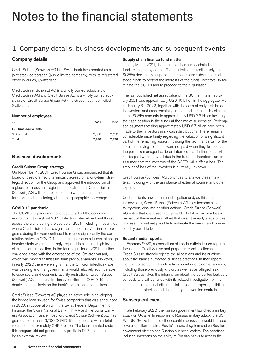## <span id="page-11-0"></span>Notes to the financial statements

### 1 Company details, business developments and subsequent events

### **Company details**

Credit Suisse (Schweiz) AG is a Swiss bank incorporated as a joint stock corporation (public limited company), with its registered office in Zurich, Switzerland.

Credit Suisse (Schweiz) AG is a wholly owned subsidiary of Credit Suisse AG and Credit Suisse AG is a wholly owned subsidiary of Credit Suisse Group AG (the Group), both domiciled in Switzerland.

| Number of employees          |       |       |
|------------------------------|-------|-------|
| end of                       | 2021  | 2020  |
| <b>Full-time equivalents</b> |       |       |
| Switzerland                  | 7.280 | 7.470 |
| Total                        | 7.280 | 7.470 |

#### **Business developments**

#### **Credit Suisse Group strategy**

On November 4, 2021, Credit Suisse Group announced that its board of directors had unanimously agreed on a long-term strategic direction for the Group and approved the introduction of a global business and regional matrix structure. Credit Suisse (Schweiz) AG will continue to operate with the same remit in terms of product offering, client and geographical coverage.

#### **COVID-19 pandemic**

The COVID-19 pandemic continued to affect the economic environment throughout 2021. Infection rates ebbed and flowed across the world during the course of 2021, including in countries where Credit Suisse has a significant presence. Vaccination programs during the year continued to reduce significantly the correlation between COVID-19 infection and serious illness, although booster shots were increasingly required to sustain a high level of protection. In addition, in the fourth quarter of 2021 a further challenge arose with the emergence of the Omicron variant, which was more transmissible than previous variants. However, in early 2022 there were signs that the Omicron infection wave was peaking and that governments would relatively soon be able to ease social and economic activity restrictions. Credit Suisse (Schweiz) AG continues to closely monitor the COVID-19 pandemic and its effects on the bank's operations and businesses.

Credit Suisse (Schweiz) AG played an active role in developing the bridge loan solution for Swiss companies that was announced in 2020, in cooperation with the Swiss Federal Department of Finance, the Swiss National Bank, FINMA and the Swiss Bankers Association. Since inception, Credit Suisse (Schweiz) AG has granted more than 16,700 COVID-19 bridge loans with a total volume of approximately CHF 3 billion. The loans granted under this program did not generate any profits in 2021, as confirmed by an external review.

#### **Supply chain finance fund matter**

In early March 2021, the boards of four supply chain finance funds managed by certain Group subsidiaries (collectively, the SCFFs) decided to suspend redemptions and subscriptions of those funds to protect the interests of the funds' investors, to terminate the SCFFs and to proceed to their liquidation.

The last published net asset value of the SCFFs in late February 2021 was approximately USD 10 billion in the aggregate. As of January 31, 2022, together with the cash already distributed to investors and cash remaining in the funds, total cash collected in the SCFFs amounts to approximately USD 7.3 billion including the cash position in the funds at the time of suspension. Redemption payments totaling approximately USD 6.7 billion have been made to their investors in six cash distributions. There remains considerable uncertainty regarding the valuation of a significant part of the remaining assets, including the fact that certain of the notes underlying the funds were not paid when they fell due and the portfolio manager has been informed that further notes will not be paid when they fall due in the future. It therefore can be assumed that the investors of the SCFFs will suffer a loss. The amount of loss of the investors is currently unknown.

Credit Suisse (Schweiz) AG continues to analyze these matters, including with the assistance of external counsel and other experts.

Certain clients have threatened litigation and, as this matter develops, Credit Suisse (Schweiz) AG may become subject to litigation, disputes or other actions. Credit Suisse (Schweiz) AG notes that it is reasonably possible that it will incur a loss in respect of these matters, albeit that given the early stage of this process, it is not yet possible to estimate the size of such a reasonably possible loss.

#### **Recent media reports**

In February 2022, a consortium of media outlets issued reports focused on Credit Suisse and purported client relationships. Credit Suisse strongly rejects the allegations and insinuations about the bank's purported business practices. In their reporting, the consortium refers to a large number of external sources, including those previously known, as well as an alleged leak. Credit Suisse takes the information about the purported leak very seriously and will continue with its related investigation, with an internal task force including specialist external experts, building on its data protection and data leakage prevention controls.

#### **Subsequent event**

In late February 2022, the Russian government launched a military attack on Ukraine. In response to Russia's military attack, the US, EU, UK, Switzerland and other countries across the world imposed severe sanctions against Russia's financial system and on Russian government officials and Russian business leaders. The sanctions included limitations on the ability of Russian banks to access the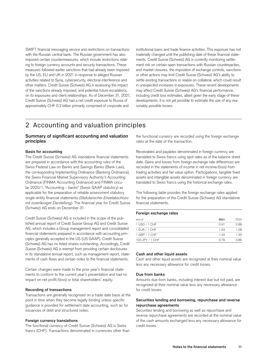SWIFT financial messaging service and restrictions on transactions with the Russian central bank. The Russian government has also imposed certain countermeasures, which include restrictions relating to foreign currency accounts and security transactions. These measures followed earlier sanctions that had already been imposed by the US, EU and UK in 2021 in response to alleged Russian activities related to Syria, cybersecurity, electoral interference and other matters. Credit Suisse (Schweiz) AG is assessing the impact of the sanctions already imposed, and potential future escalations, on its exposures and client relationships. As of December 31, 2021, Credit Suisse (Schweiz) AG had a net credit exposure to Russia of approximately CHF 0.2 billion primarily comprised of corporate and

institutional loans and trade finance activities. This exposure has not materially changed until the publishing date of these financial statements. Credit Suisse (Schweiz) AG is currently monitoring settlement risk on certain open transactions with Russian counterparties, and market closures, the imposition of exchange controls, sanctions or other actions may limit Credit Suisse (Schweiz) AG's ability to settle existing transactions or realize on collateral, which could result in unexpected increases in exposures. These recent developments may affect Credit Suisse (Schweiz) AG's financial performance, including credit loss estimates, albeit given the early stage of these developments, it is not yet possible to estimate the size of any reasonably possible losses.

### 2 Accounting and valuation principles

#### **Summary of significant accounting and valuation principles**

#### **Basis for accounting**

The Credit Suisse (Schweiz) AG standalone financial statements are prepared in accordance with the accounting rules of the Swiss Federal Law on Banks and Savings Banks (Bank Law), the corresponding Implementing Ordinance (Banking Ordinance), the Swiss Financial Market Supervisory Authority's Accounting Ordinance (FINMA Accounting Ordinance) and FINMA circular 2020/1, "Accounting – banks" (Swiss GAAP statutory) as applicable for the preparation of reliable assessment statutory single-entity financial statements *(Statutarischer Einzelabschluss mit zuverlässiger Darstellung)*. The financial year for Credit Suisse (Schweiz) AG ends on December 31.

Credit Suisse (Schweiz) AG is included in the scope of the published annual report of Credit Suisse Group AG and Credit Suisse AG, which includes a Group management report and consolidated financial statements prepared in accordance with accounting principles generally accepted in the US (US GAAP). Credit Suisse (Schweiz) AG has no listed shares outstanding. Accordingly, Credit Suisse (Schweiz) AG is exempt from providing certain disclosures in its standalone annual report, such as management report, statements of cash flows and certain notes to the financial statements.

Certain changes were made to the prior year's financial statements to conform to the current year's presentation and had no impact on net profit/(loss) or total shareholders' equity.

#### **Recording of transactions**

Transactions are generally recognized on a trade date basis at the point in time when they become legally binding unless specific guidance is provided for settlement date accounting, such as for issuances of debt and structured notes.

#### **Foreign currency translations**

The functional currency of Credit Suisse (Schweiz) AG is Swiss francs (CHF). Transactions denominated in currencies other than the functional currency are recorded using the foreign exchange rates at the date of the transaction.

Receivables and payables denominated in foreign currency are translated to Swiss francs using spot rates as of the balance sheet date. Gains and losses from foreign exchange rate differences are recorded in the statements of income in net income/(loss) from trading activities and fair value option. Participations, tangible fixed assets and intangible assets denominated in foreign currency are translated to Swiss francs using the historical exchange rates.

The following table provides the foreign exchange rates applied for the preparation of the Credit Suisse (Schweiz) AG standalone financial statements.

#### **Foreign exchange rates**

| end of            | 2021 | 2020 |
|-------------------|------|------|
| 1 USD / 1 CHF     | 0.91 | 0.88 |
| $1$ EUR $/$ 1 CHF | 1.03 | 1.08 |
| $1$ GBP $/$ 1 CHF | 1.94 | 1.90 |
| 100 JPY / 1 CHF   | 0.79 | 0.85 |

#### **Cash and other liquid assets**

Cash and other liquid assets are recognized at their nominal value less any necessary allowance for credit losses.

#### **Due from banks**

Amounts due from banks, including interest due but not paid, are recognized at their nominal value less any necessary allowance for credit losses.

#### **Securities lending and borrowing, repurchase and reverse repurchase agreements**

Securities lending and borrowing as well as repurchase and reverse repurchase agreements are recorded at the nominal value of the cash amounts exchanged less any necessary allowance for credit losses.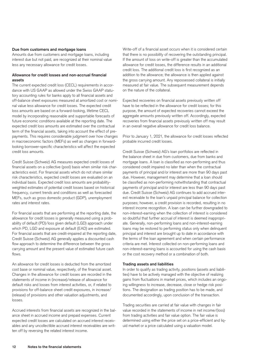#### **Due from customers and mortgage loans**

Amounts due from customers and mortgage loans, including interest due but not paid, are recognized at their nominal value less any necessary allowance for credit losses.

#### **Allowance for credit losses and non-accrual financial assets**

The current expected credit loss (CECL) requirements in accordance with US GAAP as allowed under the Swiss GAAP statutory accounting rules for banks apply to all financial assets and off-balance sheet exposures measured at amortized cost or nominal value less allowance for credit losses. The expected credit loss amounts are based on a forward-looking, lifetime CECL model by incorporating reasonable and supportable forecasts of future economic conditions available at the reporting date. The expected credit loss amounts are estimated over the contractual term of the financial assets, taking into account the effect of prepayments. This requires considerable judgment over how changes in macroeconomic factors (MEFs) as well as changes in forwardlooking borrower-specific characteristics will affect the expected credit loss amounts.

Credit Suisse (Schweiz) AG measures expected credit losses of financial assets on a collective (pool) basis when similar risk characteristics exist. For financial assets which do not share similar risk characteristics, expected credit losses are evaluated on an individual basis. Expected credit loss amounts are probabilityweighted estimates of potential credit losses based on historical frequency, current trends and conditions as well as forecasted MEFs, such as gross domestic product (GDP), unemployment rates and interest rates.

For financial assets that are performing at the reporting date, the allowance for credit losses is generally measured using a probability of default (PD)/loss given default (LGD) approach under which PD, LGD and exposure at default (EAD) are estimated. For financial assets that are credit-impaired at the reporting date, Credit Suisse (Schweiz) AG generally applies a discounted cash flow approach to determine the difference between the gross carrying amount and the present value of estimated future cash flows.

An allowance for credit losses is deducted from the amortized cost base or nominal value, respectively, of the financial asset. Changes in the allowance for credit losses are recorded in the statements of income in (increase)/release of allowance for default risks and losses from interest activities, or, if related to provisions for off-balance sheet credit exposures, in increase/ (release) of provisions and other valuation adjustments, and losses.

Accrued interests from financial assets are recognized in the balance sheet in accrued income and prepaid expenses. Current expected credit losses are calculated on accrued interest receivables and any uncollectible accrued interest receivables are written off by reversing the related interest income.

Write-off of a financial asset occurs when it is considered certain that there is no possibility of recovering the outstanding principal. If the amount of loss on write-off is greater than the accumulated allowance for credit losses, the difference results in an additional credit loss. The additional credit loss is first recognized as an addition to the allowance; the allowance is then applied against the gross carrying amount. Any repossessed collateral is initially measured at fair value. The subsequent measurement depends on the nature of the collateral.

Expected recoveries on financial assets previously written off have to be reflected in the allowance for credit losses; for this purpose, the amount of expected recoveries cannot exceed the aggregate amounts previously written off. Accordingly, expected recoveries from financial assets previously written off may result in an overall negative allowance for credit loss balance.

Prior to January 1, 2021, the allowance for credit losses reflected probable incurred credit losses.

Credit Suisse (Schweiz) AG's loan portfolios are reflected in the balance sheet in due from customers, due from banks and mortgage loans. A loan is classified as non-performing and thus considered credit impaired no later than when the contractual payments of principal and/or interest are more than 90 days past due. However, management may determine that a loan should be classified as non-performing notwithstanding that contractual payments of principal and/or interest are less than 90 days past due. Credit Suisse (Schweiz) AG continues to add accrued interest receivable to the loan's unpaid principal balance for collection purposes; however, a credit provision is recorded, resulting in no interest income recognition. A loan can be further downgraded to non-interest-earning when the collection of interest is considered so doubtful that further accrual of interest is deemed inappropriate. Generally, non-performing loans and non-interest-earning loans may be restored to performing status only when delinquent principal and interest are brought up to date in accordance with the terms of the loan agreement and when certain performance criteria are met. Interest collected on non-performing loans and non-interest-earning loans is accounted for using the cash basis or the cost recovery method or a combination of both.

#### **Trading assets and liabilities**

In order to qualify as trading activity, positions (assets and liabilities) have to be actively managed with the objective of realizing gains from fluctuations in market prices, which includes an ongoing willingness to increase, decrease, close or hedge risk positions. The designation as trading position has to be made, and documented accordingly, upon conclusion of the transaction.

Trading securities are carried at fair value with changes in fair value recorded in the statements of income in net income/(loss) from trading activities and fair value option. The fair value is determined using either the price set on a price-efficient and liquid market or a price calculated using a valuation model.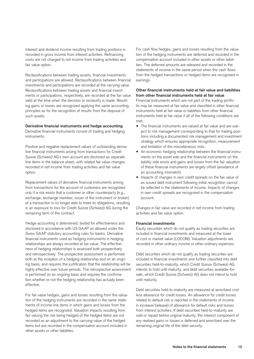Interest and dividend income resulting from trading positions is recorded in gross income from interest activities. Refinancing costs are not charged to net income from trading activities and fair value option.

Reclassifications between trading assets, financial investments and participations are allowed. Reclassifications between financial investments and participations are recorded at the carrying value. Reclassifications between trading assets and financial investments or participations, respectively, are recorded at the fair value valid at the time when the decision to reclassify is made. Resulting gains or losses are recognized applying the same accounting principles as for the recognition of results from the disposal of such assets.

#### **Derivative financial instruments and hedge accounting**

Derivative financial instruments consist of trading and hedging instruments.

Positive and negative replacement values of outstanding derivative financial instruments arising from transactions for Credit Suisse (Schweiz) AG's own account are disclosed as separate line items in the balance sheet, with related fair value changes recorded in net income from trading activities and fair value option.

Replacement values of derivative financial instruments arising from transactions for the account of customers are recognized only if a risk exists that a customer or other counterparty (e.g., exchange, exchange member, issuer of the instrument or broker) of a transaction is no longer able to meet its obligations, resulting in an exposure to loss for Credit Suisse (Schweiz) AG during the remaining term of the contract.

Hedge accounting is determined, tested for effectiveness and disclosed in accordance with US GAAP as allowed under the Swiss GAAP statutory accounting rules for banks. Derivative financial instruments used as hedging instruments in hedging relationships are always recorded at fair value. The effectiveness of hedging relationships is assessed both prospectively and retrospectively. The prospective assessment is performed both at the inception of a hedging relationship and on an ongoing basis, and requires the justification that the relationship will be highly effective over future periods. The retrospective assessment is performed on an ongoing basis and requires the confirmation whether or not the hedging relationship has actually been effective.

For fair value hedges, gains and losses resulting from the valuation of the hedging instruments are recorded in the same statements of income line items in which gains and losses from the hedged items are recognized. Valuation impacts resulting from fair valuing the risk being hedged of the hedged items are not recorded as an adjustment to the carrying value of the hedged items but are recorded in the compensation account included in other assets or other liabilities.

For cash flow hedges, gains and losses resulting from the valuation of the hedging instruments are deferred and recorded in the compensation account included in other assets or other liabilities. The deferred amounts are released and recorded in the statements of income in the same period when the cash flows from the hedged transactions or hedged items are recognized in earnings.

#### **Other financial instruments held at fair value and liabilities from other financial instruments held at fair value**

Financial instruments which are not part of the trading portfolio may be measured at fair value and classified in other financial instruments held at fair value or liabilities from other financial instruments held at fair value if all of the following conditions are met:

- p The financial instruments are valued at fair value and are subject to risk management corresponding to that for trading positions including a documented risk management and investment strategy which ensures appropriate recognition, measurement and limitation of the miscellaneous risks.
- p An economic hedging relationship between the financial instruments on the asset side and the financial instruments on the liability side exists and gains and losses from the fair valuation of these financial instruments are largely offset (avoidance of an accounting mismatch).
- Impacts of changes in own credit spreads on the fair value of an issued debt instrument following initial recognition cannot be reflected in the statements of income. Impacts of changes in own credit spreads are recognized in the compensation account.

Changes in fair value are recorded in net income from trading activities and fair value option.

#### **Financial investments**

Equity securities which do not qualify as trading securities are included in financial investments and measured at the lower of cost or market value (LOCOM). Valuation adjustments are recorded in other ordinary income or other ordinary expenses.

Debt securities which do not qualify as trading securities are included in financial investments and further classified into debt securities held-to-maturity, which Credit Suisse (Schweiz) AG intends to hold until maturity, and debt securities available-forsale, which Credit Suisse (Schweiz) AG does not intend to hold until maturity.

Debt securities held-to-maturity are measured at amortized cost less allowance for credit losses. An allowance for credit losses related to default risk is reported in the statements of income in increase/(release) of allowance for default risks and losses from interest activities. If debt securities held-to-maturity are sold or repaid before original maturity, the interest component of any realized gains or losses is deferred and amortized over the remaining original life of the debt security.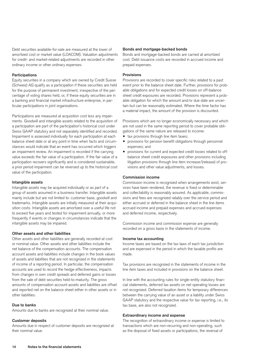Debt securities available-for-sale are measured at the lower of amortized cost or market value (LOACOM). Valuation adjustments for credit- and market-related adjustments are recorded in other ordinary income or other ordinary expenses.

#### **Participations**

Equity securities in a company which are owned by Credit Suisse (Schweiz) AG qualify as a participation if these securities are held for the purpose of permanent investment, irrespective of the percentage of voting shares held, or, if these equity securities are in a banking and financial market infrastructure enterprise, in particular participations in joint organizations.

Participations are measured at acquisition cost less any impairments. Goodwill and intangible assets related to the acquisition of a participation are part of the participation's historical cost under Swiss GAAP statutory and not separately identified and recorded. Impairment is assessed individually for each participation at each balance sheet date or at any point in time when facts and circumstances would indicate that an event has occurred which triggers an impairment review. An impairment is recorded if the carrying value exceeds the fair value of a participation. If the fair value of a participation recovers significantly and is considered sustainable, a prior period impairment can be reversed up to the historical cost value of the participation.

#### **Intangible assets**

Intangible assets may be acquired individually or as part of a group of assets assumed in a business transfer. Intangible assets mainly include but are not limited to: customer base, goodwill and trademarks. Intangible assets are initially measured at their acquisition costs. Intangible assets are amortized over a useful life not to exceed five years and tested for impairment annually, or more frequently if events or changes in circumstances indicate that the intangible assets may be impaired.

#### **Other assets and other liabilities**

Other assets and other liabilities are generally recorded at cost or nominal value. Other assets and other liabilities include the net balance of the compensation accounts. The compensation account assets and liabilities include changes in the book values of assets and liabilities that are not recognized in the statements of income of a reporting period. In particular, the compensation accounts are used to record the hedge effectiveness, impacts from changes in own credit spreads and deferred gains or losses from the sale of debt securities held-to-maturity. The gross amounts of compensation account assets and liabilities are offset and reported net on the balance sheet either in other assets or in other liabilities.

#### **Due to banks**

Amounts due to banks are recognized at their nominal value.

#### **Customer deposits**

Amounts due in respect of customer deposits are recognized at their nominal value.

#### **Bonds and mortgage-backed bonds**

Bonds and mortgage-backed bonds are carried at amortized cost. Debt issuance costs are recorded in accrued income and prepaid expenses.

#### **Provisions**

Provisions are recorded to cover specific risks related to a past event prior to the balance sheet date. Further, provisions for probable obligations and for expected credit losses on off-balance sheet credit exposures are recorded. Provisions represent a probable obligation for which the amount and/or due date are uncertain but can be reasonably estimated. Where the time factor has a material impact, the amount of the provision is discounted.

Provisions which are no longer economically necessary and which are not used in the same reporting period to cover probable obligations of the same nature are released to income:

- $\blacksquare$  tax provisions through line item taxes;
- **P** provisions for pension benefit obligations through personnel expenses; and
- **P** provisions for current and expected credit losses related to offbalance sheet credit exposures and other provisions including litigation provisions through line item increase/(release) of provisions and other value adjustments, and losses.

#### **Commission income**

Commission income is recognized when arrangements exist, services have been rendered, the revenue is fixed or determinable and collectability is reasonably assured. As applicable, commissions and fees are recognized ratably over the service period and either accrued or deferred in the balance sheet in the line items accrued income and prepaid expenses and accrued expenses and deferred income, respectively.

Commission income and commission expense are generally recorded on a gross basis in the statements of income.

#### **Income tax accounting**

Income taxes are based on the tax laws of each tax jurisdiction and are expensed in the period in which the taxable profits are made.

Tax provisions are recognized in the statements of income in the line item taxes and included in provisions on the balance sheet.

In line with the accounting rules for single-entity statutory financial statements, deferred tax assets on net operating losses are not recognized. Deferred taxation items for temporary differences between the carrying value of an asset or a liability under Swiss GAAP statutory and the respective value for tax reporting, i.e., its tax base, are also not recognized.

#### **Extraordinary income and expense**

The recognition of extraordinary income or expense is limited to transactions which are non-recurring and non-operating, such as the disposal of fixed assets or participations, the reversal of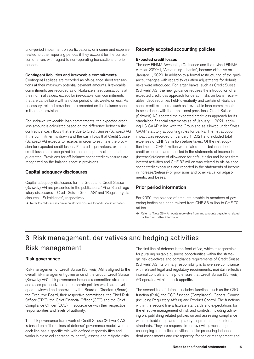prior-period impairment on participations, or income and expense related to other reporting periods if they account for the correction of errors with regard to non-operating transactions of prior periods.

#### **Contingent liabilities and irrevocable commitments**

Contingent liabilities are recorded as off-balance sheet transactions at their maximum potential payment amounts. Irrevocable commitments are recorded as off-balance sheet transactions at their nominal values, except for irrevocable loan commitments that are cancellable with a notice period of six weeks or less. As necessary, related provisions are recorded on the balance sheet in line item provisions.

For undrawn irrevocable loan commitments, the expected credit loss amount is calculated based on the difference between the contractual cash flows that are due to Credit Suisse (Schweiz) AG if the commitment is drawn and the cash flows that Credit Suisse (Schweiz) AG expects to receive, in order to estimate the provision for expected credit losses. For credit guarantees, expected credit losses are recognized for the contingency of the credit guarantee. Provisions for off-balance sheet credit exposures are recognized on the balance sheet in provisions.

#### **Capital adequacy disclosures**

Capital adequacy disclosures for the Group and Credit Suisse (Schweiz) AG are presented in the publications "Pillar 3 and regulatory disclosures – Credit Suisse Group AG" and "Regulatory disclosures – Subsidiaries", respectively.

 $\rightarrow$  Refer to credit-suisse.com/regulatorydisclosures for additional information.

#### **Recently adopted accounting policies**

#### **Expected credit losses**

The new FINMA Accounting Ordinance and the revised FINMA circular 2020/1, "Accounting – banks", became effective on January 1, 2020. In addition to a formal restructuring of the guidance, changes with regard to valuation adjustments for default risks were introduced. For larger banks, such as Credit Suisse (Schweiz) AG, the new guidance requires the introduction of an expected credit loss approach for default risks on loans, receivables, debt securities held-to-maturity and certain off-balance sheet credit exposures such as irrevocable loan commitments. In accordance with the transitional provisions, Credit Suisse (Schweiz) AG adopted the expected credit loss approach for its standalone financial statements as of January 1, 2021, applying US GAAP in line with the Group and as allowed under Swiss GAAP statutory accounting rules for banks. The net adoption impact was recorded on January 1, 2021 and included total expenses of CHF 37 million before taxes. Of the net adoption impact, CHF 4 million was related to on-balance sheet credit exposures and reported in the statements of income in (increase)/release of allowance for default risks and losses from interest activities and CHF 33 million was related to off-balance sheet credit exposures and reported in the statements of income in increase/(release) of provisions and other valuation adjustments, and losses.

#### **Prior period information**

For 2020, the balance of amounts payable to members of governing bodies has been revised from CHF 88 million to CHF 70 million.

 $\rightarrow$  Refer to "Note 23 – Amounts receivable from and amounts payable to related parties" for further information.

### 3 Risk management, derivatives and hedging activities Risk management

#### **Risk governance**

Risk management of Credit Suisse (Schweiz) AG is aligned to the overall risk management governance of the Group. Credit Suisse (Schweiz) AG's risk governance includes a committee structure and a comprehensive set of corporate policies which are developed, reviewed and approved by the Board of Directors (Board), the Executive Board, their respective committees, the Chief Risk Officer (CRO), the Chief Financial Officer (CFO) and the Chief Compliance Officer (CCO), in accordance with their respective responsibilities and levels of authority.

The risk governance framework of Credit Suisse (Schweiz) AG is based on a "three lines of defense" governance model, where each line has a specific role with defined responsibilities and works in close collaboration to identify, assess and mitigate risks. The first line of defense is the front office, which is responsible for pursuing suitable business opportunities within the strategic risk objectives and compliance requirements of Credit Suisse (Schweiz) AG. Its primary responsibility is to oversee compliance with relevant legal and regulatory requirements, maintain effective internal controls and help to ensure that Credit Suisse (Schweiz) AG operates within its risk appetite.

The second line of defense includes functions such as the CRO function (Risk), the CCO function (Compliance), General Counsel (including Regulatory Affairs) and Product Control. The functions within the second line articulate standards and expectations for the effective management of risk and controls, including advising on, publishing related policies on and assessing compliance with applicable legal and regulatory requirements and internal standards. They are responsible for reviewing, measuring and challenging front office activities and for producing independent assessments and risk reporting for senior management and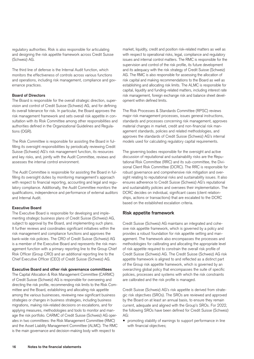regulatory authorities. Risk is also responsible for articulating and designing the risk appetite framework across Credit Suisse (Schweiz) AG.

The third line of defense is the Internal Audit function, which monitors the effectiveness of controls across various functions and operations, including risk management, compliance and governance practices.

#### **Board of Directors**

The Board is responsible for the overall strategic direction, supervision and control of Credit Suisse (Schweiz) AG, and for defining its overall tolerance for risk. In particular, the Board approves the risk management framework and sets overall risk appetite in consultation with its Risk Committee among other responsibilities and authorities defined in the Organizational Guidelines and Regulations (OGR).

The Risk Committee is responsible for assisting the Board in fulfilling its oversight responsibilities by periodically reviewing Credit Suisse (Schweiz) AG's risk management function, its resources and key risks, and, jointly with the Audit Committee, reviews and assesses the internal control environment.

The Audit Committee is responsible for assisting the Board in fulfilling its oversight duties by monitoring management's approach with respect to financial reporting, accounting and legal and regulatory compliance. Additionally, the Audit Committee monitors the qualifications, independence and performance of external auditors and Internal Audit.

#### **Executive Board**

The Executive Board is responsible for developing and implementing strategic business plans of Credit Suisse (Schweiz) AG, subject to approval by the Board, and implementing such plans. It further reviews and coordinates significant initiatives within the risk management and compliance functions and approves the bank-wide risk policies. The CRO of Credit Suisse (Schweiz) AG is a member of the Executive Board and represents the risk management function with a primary reporting line to the Group Chief Risk Officer (Group CRO) and an additional reporting line to the Chief Executive Officer (CEO) of Credit Suisse (Schweiz) AG.

#### **Executive Board and other risk governance committees**

The Capital Allocation & Risk Management Committee (CARMC) of Credit Suisse (Schweiz) AG is responsible for overseeing and directing the risk profile, recommending risk limits to the Risk Committee and the Board, establishing and allocating risk appetite among the various businesses, reviewing new significant business strategies or changes in business strategies, including business migrations, making risk-related decisions on escalations, and for applying measures, methodologies and tools to monitor and manage the risk portfolio. CARMC of Credit Suisse (Schweiz) AG operates in two committees: the Risk Management Committee (RMC) and the Asset Liability Management Committee (ALMC). The RMC is the main governance and decision-making body with respect to

market, liquidity, credit and position risk-related matters as well as with respect to operational risks, legal, compliance and regulatory issues and internal control matters. The RMC is responsible for the supervision and control of the risk profile, its future development and its adequacy with the risk strategy of Credit Suisse (Schweiz) AG. The RMC is also responsible for assessing the allocation of risk capital and making recommendations to the Board as well as establishing and allocating risk limits. The ALMC is responsible for capital, liquidity and funding-related matters, including interest rate risk management, foreign exchange risk and balance sheet development within defined limits.

The Risk Processes & Standards Committee (RPSC) reviews major risk management processes, issues general instructions, standards and processes concerning risk management, approves material changes in market, credit and non-financial risk management standards, policies and related methodologies, and approves the standards of Credit Suisse (Schweiz) AG's internal models used for calculating regulatory capital requirements.

The governing bodies responsible for the oversight and active discussion of reputational and sustainability risks are the Reputational Risk Committee (RRC) and its sub-committee, the Divisional Client Risk Committee (DCRC). The RRC is responsible for robust governance and comprehensive risk mitigation and oversight relating to reputational risks and sustainability issues. It also ensures adherence to Credit Suisse (Schweiz) AG's reputational and sustainability policies and oversees their implementation. The DCRC decides on individual, significant cases (client relationships, actions or transactions) that are escalated to the DCRC based on the established escalation criteria.

#### **Risk appetite framework**

Credit Suisse (Schweiz) AG maintains an integrated and cohesive risk appetite framework, which is governed by a policy and provides a robust foundation for risk appetite setting and management. The framework also encompasses the processes and methodologies for calibrating and allocating the appropriate level of risk appetite required to constrain the overall risk profile of Credit Suisse (Schweiz) AG. The Credit Suisse (Schweiz) AG risk appetite framework is aligned to and reflected as a distinct part of the Group risk appetite framework, which is governed by an overarching global policy that encompasses the suite of specific policies, processes and systems with which the risk constraints are calibrated and the risk profile is managed.

Credit Suisse (Schweiz) AG's risk appetite is derived from strategic risk objectives (SROs). The SROs are reviewed and approved by the Board on at least an annual basis, to ensure they remain current, adequate and aligned with the Group's SROs. For 2022, the following SROs have been defined for Credit Suisse (Schweiz) AG:

**P** promoting stability of earnings to support performance in line with financial objectives;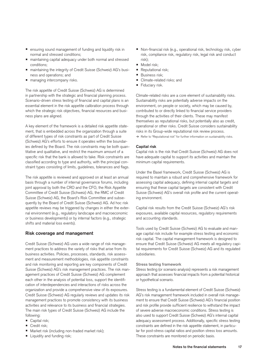- p ensuring sound management of funding and liquidity risk in normal and stressed conditions;
- p maintaining capital adequacy under both normal and stressed conditions;
- p maintaining the integrity of Credit Suisse (Schweiz) AG's business and operations; and
- managing intercompany risks.

The risk appetite of Credit Suisse (Schweiz) AG is determined in partnership with the strategic and financial planning process. Scenario-driven stress testing of financial and capital plans is an essential element in the risk appetite calibration process through which the strategic risk objectives, financial resources and business plans are aligned.

A key element of the framework is a detailed risk appetite statement, that is embedded across the organization through a suite of different types of risk constraints as part of Credit Suisse (Schweiz) AG's efforts to ensure it operates within the boundaries defined by the Board. The risk constraints may be both quantitative and qualitative, and restrict the maximum amount of a specific risk that the bank is allowed to take. Risk constraints are classified according to type and authority, with the principal constraint types consisting of limits, guidelines, tolerances and flags.

The risk appetite is reviewed and approved on at least an annual basis through a number of internal governance forums, including joint approval by both the CRO and the CFO, the Risk Appetite Committee of Credit Suisse (Schweiz) AG, the RMC of Credit Suisse (Schweiz) AG, the Board's Risk Committee and subsequently by the Board of Credit Suisse (Schweiz) AG. Ad hoc risk appetite reviews may be triggered by changes in either the external environment (e.g., regulatory landscape and macroeconomic or business developments) or by internal factors (e.g., strategic shifts and material loss events).

#### **Risk coverage and management**

Credit Suisse (Schweiz) AG uses a wide range of risk management practices to address the variety of risks that arise from its business activities. Policies, processes, standards, risk assessment and measurement methodologies, risk appetite constraints and risk monitoring and reporting are key components of Credit Suisse (Schweiz) AG's risk management practices. The risk management practices of Credit Suisse (Schweiz) AG complement each other in the analysis of potential loss, support the identification of interdependencies and interactions of risks across the organization and provide a comprehensive view of its exposures. Credit Suisse (Schweiz) AG regularly reviews and updates its risk management practices to promote consistency with its business activities and relevance to its business and financial strategies. The main risk types of Credit Suisse (Schweiz) AG include the following:

- $\blacksquare$  Capital risk;
- $\blacksquare$  Credit risk:
- **P** Market risk (including non-traded market risk);
- **E.** Liquidity and funding risk;
- Non-financial risk (e.g., operational risk, technology risk, cyber risk, compliance risk, regulatory risk, legal risk and conduct risk);
- Model risk:
- **P** Reputational risk;
- Business risk;
- **•** Climate-related risks; and
- Fiduciary risk.

Climate-related risks are a core element of sustainability risks. Sustainability risks are potentially adverse impacts on the environment, on people or society, which may be caused by, contributed to or directly linked to financial service providers through the activities of their clients. These may manifest themselves as reputational risks, but potentially also as credit, operational or other risks. Credit Suisse considers sustainability risks in its Group-wide reputational risk review process.

 $\rightarrow$  Refer to "Reputational risk" for further information on sustainability risks.

#### **Capital risk**

Capital risk is the risk that Credit Suisse (Schweiz) AG does not have adequate capital to support its activities and maintain the minimum capital requirements.

Under the Basel framework, Credit Suisse (Schweiz) AG is required to maintain a robust and comprehensive framework for assessing capital adequacy, defining internal capital targets and ensuring that these capital targets are consistent with Credit Suisse (Schweiz) AG's overall risk profile and the current operating environment.

Capital risk results from the Credit Suisse (Schweiz) AG's risk exposures, available capital resources, regulatory requirements and accounting standards.

Tools used by Credit Suisse (Schweiz) AG to evaluate and manage capital risk include for example stress testing and economic risk capital. The capital management framework is designed to ensure that Credit Suisse (Schweiz) AG meets all regulatory capital requirements for Credit Suisse (Schweiz) AG and its regulated subsidiaries.

#### **Stress testing framework**

Stress testing (or scenario analysis) represents a risk management approach that assesses financial impacts from a potential historical or hypothetical scenario.

Stress testing is a fundamental element of Credit Suisse (Schweiz) AG's risk management framework included in overall risk management to ensure that Credit Suisse (Schweiz) AG's financial position and risk profile provide sufficient resilience to withstand the impact of severe adverse macroeconomic conditions. Stress testing is also used to support Credit Suisse (Schweiz) AG's internal capital adequacy assessment process. Additionally, specific stress testing constraints are defined in the risk appetite statement, in particular for post-stress capital ratios and position stress loss amounts. These constraints are monitored on periodic basis.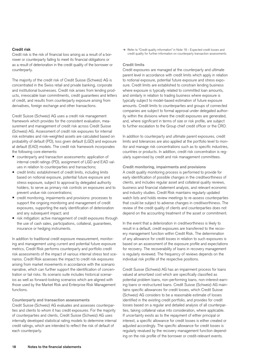#### **Credit risk**

Credit risk is the risk of financial loss arising as a result of a borrower or counterparty failing to meet its financial obligations or as a result of deterioration in the credit quality of the borrower or counterparty.

The majority of the credit risk of Credit Suisse (Schweiz) AG is concentrated in the Swiss retail and private banking, corporate and institutional businesses. Credit risk arises from lending products, irrevocable loan commitments, credit guarantees and letters of credit, and results from counterparty exposure arising from derivatives, foreign exchange and other transactions.

Credit Suisse (Schweiz) AG uses a credit risk management framework which provides for the consistent evaluation, measurement and management of credit risk across Credit Suisse (Schweiz) AG. Assessment of credit risk exposures for internal risk estimates and risk-weighted assets are calculated based on probability of default (PD), loss given default (LGD) and exposure at default (EAD) models. The credit risk framework incorporates the following core elements:

- p counterparty and transaction assessments: application of internal credit ratings (PD), assignment of LGD and EAD values in relation to counterparties and transactions;
- p credit limits: establishment of credit limits, including limits based on notional exposure, potential future exposure and stress exposure, subject to approval by delegated authority holders, to serve as primary risk controls on exposures and to prevent undue risk concentrations;
- credit monitoring, impairments and provisions: processes to support the ongoing monitoring and management of credit exposures, supporting the early identification of deterioration and any subsequent impact; and
- risk mitigation: active management of credit exposures through the use of cash sales, participations, collateral, guarantees, insurance or hedging instruments.

In addition to traditional credit exposure measurement, monitoring and management using current and potential future exposure metrics, Credit Risk performs counterparty and portfolio credit risk assessments of the impact of various internal stress test scenarios. Credit Risk assesses the impact to credit risk exposures arising from market movements in accordance with the scenario narrative, which can further support the identification of concentration or tail risks. Its scenario suite includes historical scenarios as well as forward-looking scenarios which are aligned with those used by the Market Risk and Enterprise Risk Management functions.

#### **Counterparty and transaction assessments**

Credit Suisse (Schweiz) AG evaluates and assesses counterparties and clients to whom it has credit exposures. For the majority of counterparties and clients, Credit Suisse (Schweiz) AG uses internally developed statistical rating models to determine internal credit ratings, which are intended to reflect the risk of default of each counterparty.

→ Refer to "Credit quality information" in Note 19 – Expected credit losses and credit quality for further information on counterparty transaction assessments.

#### **Credit limits**

Credit exposures are managed at the counterparty and ultimate parent level in accordance with credit limits which apply in relation to notional exposure, potential future exposure and stress exposure. Credit limits are established to constrain lending business where exposure is typically related to committed loan amounts, and similarly in relation to trading business where exposure is typically subject to model-based estimation of future exposure amounts. Credit limits to counterparties and groups of connected companies are subject to formal approval under delegated authority within the divisions where the credit exposures are generated, and, where significant in terms of size or risk profile, are subject to further escalation to the Group chief credit officer or the CRO.

In addition to counterparty and ultimate parent exposures, credit limits and tolerances are also applied at the portfolio level to monitor and manage risk concentrations such as to specific industries, countries or products. In addition, credit risk concentration is regularly supervised by credit and risk management committees.

**Credit monitoring, impairments and provisions** A credit quality monitoring process is performed to provide for early identification of possible changes in the creditworthiness of clients, and includes regular asset and collateral quality reviews, business and financial statement analysis, and relevant economic and industry studies. Credit Risk maintains regularly updated watch lists and holds review meetings to re-assess counterparties that could be subject to adverse changes in creditworthiness. The review of the credit quality of clients and counterparties does not depend on the accounting treatment of the asset or commitment.

In the event that a deterioration in creditworthiness is likely to result in a default, credit exposures are transferred to the recovery management function within Credit Risk. The determination of any allowance for credit losses in relation to such exposures is based on an assessment of the exposure profile and expectations for recovery. The recoverability of loans in recovery management is regularly reviewed. The frequency of reviews depends on the individual risk profile of the respective positions.

Credit Suisse (Schweiz) AG has an impairment process for loans valued at amortized cost which are specifically classified as potential problem loans, non-performing loans, non-interest-earning loans or restructured loans. Credit Suisse (Schweiz) AG maintains specific allowances for credit losses, which Credit Suisse (Schweiz) AG considers to be a reasonable estimate of losses identified in the existing credit portfolio, and provides for credit losses based on a regular and detailed analysis of all counterparties, taking collateral value into consideration, where applicable. If uncertainty exists as to the repayment of either principal or interest, a specific allowance for credit losses is either created or adjusted accordingly. The specific allowance for credit losses is regularly revalued by the recovery management function depending on the risk profile of the borrower or credit-relevant events.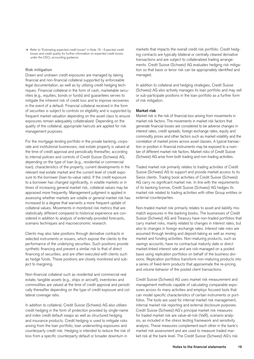> Refer to "Estimating expected credit losses" in Note 19 - Expected credit losses and credit quality for further information on expected credit losses under the CECL accounting guidance.

#### **Risk mitigation**

Drawn and undrawn credit exposures are managed by taking financial and non-financial collateral supported by enforceable legal documentation, as well as by utilizing credit hedging techniques. Financial collateral in the form of cash, marketable securities (e.g., equities, bonds or funds) and guarantees serves to mitigate the inherent risk of credit loss and to improve recoveries in the event of a default. Financial collateral received in the form of securities is subject to controls on eligibility and is supported by frequent market valuation depending on the asset class to ensure exposures remain adequately collateralized. Depending on the quality of the collateral, appropriate haircuts are applied for risk management purposes.

For the mortgage lending portfolio in the private banking, corporate and institutional businesses, real estate property is valued at the time of credit approval and periodically thereafter, according to internal policies and controls of Credit Suisse (Schweiz) AG, depending on the type of loan (e.g., residential or commercial loan), characteristics of the property, current developments in the relevant real estate market and the current level of credit exposure to the borrower (loan-to-value ratio). If the credit exposure to a borrower has changed significantly, in volatile markets or in times of increasing general market risk, collateral values may be appraised more frequently. Management judgment is applied in assessing whether markets are volatile or general market risk has increased to a degree that warrants a more frequent update of collateral values. Movements in monitored risk metrics that are statistically different compared to historical experience are considered in addition to analysis of externally-provided forecasts, scenario techniques and macroeconomic research.

Clients may also take positions through derivative contracts in selected instruments or issuers, which expose the clients to the performance of the underlying securities. Such positions provide synthetic financing and present a similar risk to that of direct financing of securities, and are often executed with clients such as hedge funds. These positions are closely monitored and subject to margining.

Non-financial collateral such as residential and commercial real estate, tangible assets (e.g., ships or aircraft), inventories and commodities are valued at the time of credit approval and periodically thereafter depending on the type of credit exposure and collateral coverage ratio.

In addition to collateral, Credit Suisse (Schweiz) AG also utilizes credit hedging in the form of protection provided by single-name and index credit default swaps as well as structured hedging and insurance products. Credit hedging is used to mitigate risks arising from the loan portfolio, loan underwriting exposures and counterparty credit risk. Hedging is intended to reduce the risk of loss from a specific counterparty default or broader downturn in

markets that impacts the overall credit risk portfolio. Credit hedging contracts are typically bilateral or centrally cleared derivative transactions and are subject to collateralized trading arrangements. Credit Suisse (Schweiz) AG evaluates hedging risk mitigation so that basis or tenor risk can be appropriately identified and managed.

In addition to collateral and hedging strategies, Credit Suisse (Schweiz) AG also actively manages its loan portfolio and may sell or sub-participate positions in the loan portfolio as a further form of risk mitigation.

#### **Market risk**

Market risk is the risk of financial loss arising from movements in market risk factors. The movements in market risk factors that generate financial losses are considered to be adverse changes in interest rates, credit spreads, foreign exchange rates, equity and commodity prices and other factors such as market volatility and the correlation of market prices across asset classes. A typical transaction or position in financial instruments may be exposed to a number of different market risk factors. Market risks of Credit Suisse (Schweiz) AG arise from both trading and non-trading activities.

Traded market risk primarily relates to trading activities of Credit Suisse (Schweiz) AG to support and provide market access to its Swiss clients. Trading book activities of Credit Suisse (Schweiz) AG carry no significant market risk. In line with the requirements of its banking license, Credit Suisse (Schweiz) AG hedges its market risk related to trading activities with other Group entities or external counterparties.

Non-traded market risk primarily relates to asset and liability mismatch exposures in the banking books. The businesses of Credit Suisse (Schweiz) AG and Treasury have non-traded portfolios that carry market risks, mainly related to changes in interest rates, but also to changes in foreign exchange rates. Interest rate risks are assumed through lending and deposit-taking as well as money market and funding activities. Non-maturing products, such as savings accounts, have no contractual maturity date or direct market-linked interest rate and are risk-managed on a pooled basis using replication portfolios on behalf of the business divisions. Replication portfolios transform non-maturing products into a series of fixed-term products that approximate the re-pricing and volume behavior of the pooled client transactions.

Credit Suisse (Schweiz) AG uses market risk measurement and management methods capable of calculating comparable exposures across its many activities and employs focused tools that can model specific characteristics of certain instruments or portfolios. The tools are used for internal market risk management, internal market risk reporting and external disclosure purposes. Credit Suisse (Schweiz) AG's principal market risk measures for traded market risk are value-at-risk (VaR), scenario analysis, as included in the stress testing framework and sensitivity analysis. These measures complement each other in the bank's market risk assessment and are used to measure traded market risk at the bank level. The Credit Suisse (Schweiz) AG's risk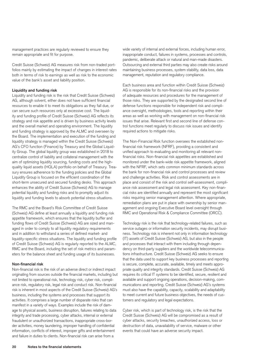management practices are regularly reviewed to ensure they remain appropriate and fit for purpose.

Credit Suisse (Schweiz) AG measures risk from non-traded portfolios mainly by estimating the impact of changes in interest rates both in terms of risk to earnings as well as risk to the economic value of the bank's asset and liability position.

#### **Liquidity and funding risk**

Liquidity and funding risk is the risk that Credit Suisse (Schweiz) AG, although solvent, either does not have sufficient financial resources to enable it to meet its obligations as they fall due, or can secure such resources only at excessive cost. The liquidity and funding profile of Credit Suisse (Schweiz) AG reflects its strategy and risk appetite and is driven by business activity levels and the overall market and operating environment. The liquidity and funding strategy is approved by the ALMC and overseen by the Board. The implementation and execution of the funding and liquidity strategy is managed within the Credit Suisse (Schweiz) AG's CFO function (Finance) by Treasury and the Global Liquidity Group. The global liquidity group was established in 2018 to centralize control of liability and collateral management with the aim of optimizing liquidity sourcing, funding costs and the highquality liquid assets (HQLA) portfolio on behalf of Treasury. Treasury ensures adherence to the funding policies and the Global Liquidity Group is focused on the efficient coordination of the short-term unsecured and secured funding desks. This approach enhances the ability of Credit Suisse (Schweiz) AG to manage potential liquidity and funding risks and to promptly adjust its liquidity and funding levels to absorb potential stress situations.

The RMC and the Board's Risk Committee of Credit Suisse (Schweiz) AG define at least annually a liquidity and funding risk appetite framework, which ensures that the liquidity buffer and funding flows of Credit Suisse (Schweiz) AG are sized and managed in order to comply to all liquidity regulatory requirements and in addition to withstand a series of defined market- and liquidity-specific stress situations. The liquidity and funding profile of Credit Suisse (Schweiz) AG is regularly reported to the ALMC, RMC and the Board, including the set of risk metrics and parameters for the balance sheet and funding usage of its businesses.

#### **Non-financial risk**

Non-financial risk is the risk of an adverse direct or indirect impact originating from sources outside the financial markets, including but not limited to operational risk, technology risk, cyber risk, compliance risk, regulatory risk, legal risk and conduct risk. Non-financial risk is inherent in most aspects of the Credit Suisse (Schweiz) AG's business, including the systems and processes that support its activities. It comprises a large number of disparate risks that can manifest in a variety of ways. Examples include the risk of damage to physical assets, business disruption, failures relating to data integrity and trade processing, cyber attacks, internal or external fraudulent or unauthorized transactions, inappropriate cross-border activities, money laundering, improper handling of confidential information, conflicts of interest, improper gifts and entertainment and failure in duties to clients. Non-financial risk can arise from a

wide variety of internal and external forces, including human error, inappropriate conduct, failures in systems, processes and controls, pandemic, deliberate attack or natural and man-made disasters. Outsourcing and external third parties may also create risks around maintaining business processes, system stability, data loss, data management, reputation and regulatory compliance.

Each business area and function within Credit Suisse (Schweiz) AG is responsible for its non-financial risks and the provision of adequate resources and procedures for the management of those risks. They are supported by the designated second line of defense functions responsible for independent risk and compliance oversight, methodologies, tools and reporting within their areas as well as working with management on non-financial risk issues that arise. Relevant first and second line of defense control functions meet regularly to discuss risk issues and identify required actions to mitigate risks.

The Non-Financial Risk function oversees the established nonfinancial risk framework (NFRF), providing a consistent and unified approach to evaluating and monitoring all relevant nonfinancial risks. Non-financial risk appetites are established and monitored under the bank-wide risk appetite framework, aligned with the NFRF, which sets common minimum standards across the bank for non-financial risk and control processes and review and challenge activities. Risk and control assessments are in place and consist of the risk and control self-assessment, compliance risk assessment and legal risk assessment. Key non-financial risks are identified annually and represent the most significant risks requiring senior management attention. Where appropriate, remediation plans are put in place with ownership by senior management and ongoing Executive Board level oversight through RMC and Operational Risk & Compliance Committee (ORCC).

Technology risk is the risk that technology-related failures, such as service outages or information security incidents, may disrupt business. Technology risk is inherent not only in information technology (IT) assets of Credit Suisse (Schweiz) AG, but also in the people and processes that interact with them including through dependency on third-party suppliers and the worldwide telecommunications infrastructure. Credit Suisse (Schweiz) AG seeks to ensure that the data used to support key business processes and reporting is secure, complete, accurate, available, timely and meets appropriate quality and integrity standards. Credit Suisse (Schweiz) AG requires its critical IT systems to be identified, secure, resilient and available and support ongoing operations, decision-making, communications and reporting. Credit Suisse (Schweiz) AG's systems must also have the capability, capacity, scalability and adaptability to meet current and future business objectives, the needs of customers and regulatory and legal expectations.

Cyber risk, which is part of technology risk, is the risk that the Credit Suisse (Schweiz) AG will be compromised as a result of cyber attacks, security breaches, unauthorized access, loss or destruction of data, unavailability of service, malware or other events that could have an adverse security impact.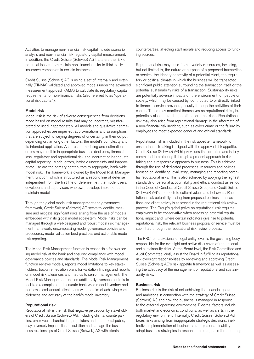Activities to manage non-financial risk capital include scenario analysis and non-financial risk regulatory capital measurement. In addition, the Credit Suisse (Schweiz) AG transfers the risk of potential losses from certain non-financial risks to third-party insurance companies in certain instances.

Credit Suisse (Schweiz) AG is using a set of internally and externally (FINMA) validated and approved models under the advanced measurement approach (AMA) to calculate its regulatory capital requirements for non-financial risks (also referred to as "operational risk capital").

#### **Model risk**

Model risk is the risk of adverse consequences from decisions made based on model results that may be incorrect, misinterpreted or used inappropriately. All models and qualitative estimation approaches are imperfect approximations and assumptions that are subject to varying degrees of uncertainty in their output depending on, among other factors, the model's complexity and its intended application. As a result, modeling and estimation errors may result in inappropriate business decisions, financial loss, regulatory and reputational risk and incorrect or inadequate capital reporting. Model errors, intrinsic uncertainty and inappropriate use are the primary contributors to aggregate, bank-wide model risk. This framework is owned by the Model Risk Management function, which is structured as a second line of defense independent from the first line of defense, i.e., the model users, developers and supervisors who own, develop, implement and maintain models.

Through the global model risk management and governance framework, Credit Suisse (Schweiz) AG seeks to identify, measure and mitigate significant risks arising from the use of models embedded within its global model ecosystem. Model risks can be managed through a well-designed and robust model risk management framework, encompassing model governance policies and procedures, model validation best practices and actionable model risk reporting.

The Model Risk Management function is responsible for overseeing model risk at the bank and ensuring compliance with model governance policies and standards. The Model Risk Management function reviews models, reports model limitations to key stakeholders, tracks remediation plans for validation findings and reports on model risk tolerances and metrics to senior management. The Model Risk Management function additionally oversees controls to facilitate a complete and accurate bank-wide model inventory and performs semi-annual attestations with the aim of achieving completeness and accuracy of the bank's model inventory.

#### **Reputational risk**

Reputational risk is the risk that negative perception by stakeholders of Credit Suisse (Schweiz) AG, including clients, counterparties, employees, shareholders, regulators and the general public, may adversely impact client acquisition and damage the business relationships of Credit Suisse (Schweiz) AG with clients and

counterparties, affecting staff morale and reducing access to funding sources.

Reputational risk may arise from a variety of sources, including, but not limited to, the nature or purpose of a proposed transaction or service, the identity or activity of a potential client, the regulatory or political climate in which the business will be transacted, significant public attention surrounding the transaction itself or the potential sustainability risks of a transaction. Sustainability risks are potentially adverse impacts on the environment, on people or society, which may be caused by, contributed to or directly linked to financial service providers, usually through the activities of their clients. These may manifest themselves as reputational risks, but potentially also as credit, operational or other risks. Reputational risk may also arise from reputational damage in the aftermath of a non-financial risk incident, such as cyber crime or the failure by employees to meet expected conduct and ethical standards.

Reputational risk is included in the risk appetite framework to ensure that risk-taking is aligned with the approved risk appetite. Credit Suisse (Schweiz) AG highly values its reputation and is fully committed to protecting it through a prudent approach to risktaking and a responsible approach to business. This is achieved through the use of dedicated processes, resources and policies focused on identifying, evaluating, managing and reporting potential reputational risks. This is also achieved by applying the highest standards of personal accountability and ethical conduct as set out in the Code of Conduct of Credit Suisse Group and Credit Suisse (Schweiz) AG's approach to cultural values and behaviors. Reputational risk potentially arising from proposed business transactions and client activity is assessed in the reputational risk review process. The Group's global policy on reputational risk requires employees to be conservative when assessing potential reputational impact and, where certain indicators give rise to potential reputational risk, the relevant business proposal or service must be submitted through the reputational risk review process.

The RRC, on a divisional or legal entity level, is the governing body responsible for the oversight and active discussion of reputational and sustainability risks. At the Board level, the Risk Committee and Audit Committee jointly assist the Board in fulfilling its reputational risk oversight responsibilities by reviewing and approving Credit Suisse (Schweiz) AG's risk appetite framework as well as assessing the adequacy of the management of reputational and sustainability risks.

#### **Business risk**

Business risk is the risk of not achieving the financial goals and ambitions in connection with the strategy of Credit Suisse (Schweiz) AG and how the business is managed in response to the external operating environment. External factors include both market and economic conditions, as well as shifts in the regulatory environment. Internally, Credit Suisse (Schweiz) AG faces risks arising from inappropriate strategic decisions, ineffective implementation of business strategies or an inability to adapt business strategies in response to changes in the operating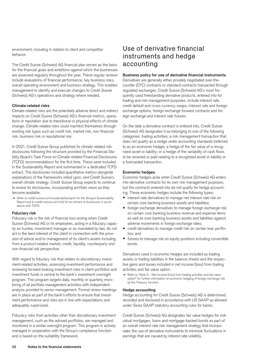environment, including in relation to client and competitor behavior.

The Credit Suisse (Schweiz) AG financial plan serves as the basis for the financial goals and ambitions against which the businesses are assessed regularly throughout the year. These regular reviews include evaluations of financial performance, key business risks, overall operating environment and business strategy. This enables management to identify and execute changes to Credit Suisse (Schweiz) AG's operations and strategy where needed.

#### **Climate-related risks**

Climate-related risks are the potentially adverse direct and indirect impacts on Credit Suisse (Schweiz) AG's financial metrics, operations or reputation due to transitional or physical effects of climate change. Climate-related risks could manifest themselves through existing risk types such as credit risk, market risk, non-financial risk, business risk or reputational risk.

In 2021, Credit Suisse Group published its climate-related risk disclosures following the structure provided by the Financial Stability Board's Task Force on Climate-related Financial Disclosures (TCFD) recommendations for the first time. These were included in the Sustainability Report and summarized in a dedicated TCFD extract. The disclosures included quantitative metrics alongside explanations of the frameworks relied upon, and Credit Suisse's overall climate strategy. Credit Suisse Group expects to continue to evolve its disclosures, incorporating portfolio views as they become available.

> Refer to credit-suisse.com/sustainabilityreport for the Group's Sustainability Report and to credit-suisse.com/tcfd for an extract of disclosures in accordance with TCFD.

#### **Fiduciary risk**

Fiduciary risk is the risk of financial loss arising when Credit Suisse (Schweiz) AG or its employees, acting in a fiduciary capacity as trustee, investment manager or as mandated by law, do not act in the best interest of the client in connection with the provision of advice and/or management of its client's assets including from a product-related market, credit, liquidity, counterparty and non-financial risk perspective.

With regard to fiduciary risk that relates to discretionary investment-related activities, assessing investment performance and reviewing forward-looking investment risks in client portfolios and investment funds is central to the bank's investment oversight program. This program targets daily, monthly or quarterly monitoring of all portfolio management activities with independent analysis provided to senior management. Formal review meetings are in place as part of the bank's efforts to ensure that investment performance and risks are in line with expectations and adequately supervised.

Fiduciary risks from activities other than discretionary investment management, such as the advised portfolios, are managed and monitored in a similar oversight program. This program is actively managed in cooperation with the Group's compliance function and is based on the suitability framework.

### Use of derivative financial instruments and hedge accounting

#### **Business policy for use of derivative financial instruments**

Derivatives are generally either privately negotiated over-thecounter (OTC) contracts or standard contracts transacted through regulated exchanges. Credit Suisse (Schweiz) AG's most frequently used freestanding derivative products, entered into for trading and risk management purposes, include interest rate, credit default and cross-currency swaps, interest rate and foreign exchange options, foreign exchange forward contracts and foreign exchange and interest rate futures.

On the date a derivative contract is entered into, Credit Suisse (Schweiz) AG designates it as belonging to one of the following categories: trading activities; a risk management transaction that does not qualify as a hedge under accounting standards (referred to as an economic hedge); a hedge of the fair value of a recognized asset or liability; or a hedge of the variability of cash flows to be received or paid relating to a recognized asset or liability or a forecasted transaction.

#### **Economic hedges**

Economic hedges arise when Credit Suisse (Schweiz) AG enters into derivative contracts for its own risk management purposes, but the contracts entered into do not qualify for hedge accounting. These economic hedges include the following types:

- p interest rate derivatives to manage net interest rate risk on certain core banking business assets and liabilities;
- **F** foreign exchange derivatives to manage foreign exchange risk on certain core banking business revenue and expense items as well as core banking business assets and liabilities against adverse movements in foreign exchange rates;
- p credit derivatives to manage credit risk on certain loan portfolios; and
- p futures to manage risk on equity positions including convertible bonds.

Derivatives used in economic hedges are included as trading assets or trading liabilities in the balance sheets and the respective gains and losses included in net income/(loss) from trading activities and fair value option.

 $\rightarrow$  Refer to "Note 5 – Net income/(loss) from trading activities and fair value option" for further information on economic hedging of foreign exchange risk by the Treasury function.

#### **Hedge accounting**

Hedge accounting for Credit Suisse (Schweiz) AG is determined, recorded and disclosed in accordance with US GAAP as allowed under Swiss GAAP statutory accounting rules for banks.

Credit Suisse (Schweiz) AG designates fair value hedges for individual mortgages, loans and mortgage-backed bonds as part of an overall interest rate risk management strategy that incorporates the use of derivative instruments to minimize fluctuations in earnings that are caused by interest rate volatility.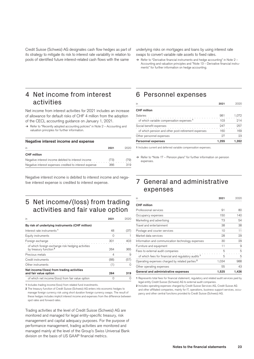Credit Suisse (Schweiz) AG designates cash flow hedges as part of its strategy to mitigate its risk to interest rate variability in relation to pools of identified future interest-related cash flows with the same

### 4 Net income from interest activities

Net income from interest activities for 2021 includes an increase of allowance for default risks of CHF 4 million from the adoption of the CECL accounting guidance on January 1, 2021.

 $\rightarrow$  Refer to "Recently adopted accounting policies" in Note 2 – Accounting and valuation principles for further information.

| Negative interest income and expense                    |      |      |  |  |
|---------------------------------------------------------|------|------|--|--|
| in                                                      | 2021 | 2020 |  |  |
| <b>CHF</b> million                                      |      |      |  |  |
| Negative interest income debited to interest income     | (73) | (79) |  |  |
| Negative interest expenses credited to interest expense | 366  | 319  |  |  |

Negative interest income is debited to interest income and negative interest expense is credited to interest expense.

### 5 Net income/(loss) from trading activities and fair value option

| in                                                                                     | 2021 | 2020 |
|----------------------------------------------------------------------------------------|------|------|
| By risk of underlying instruments (CHF million)                                        |      |      |
| Interest rate instruments <sup>1</sup>                                                 | 48   | (37) |
| Equity instruments                                                                     | 0    |      |
| Foreign exchange                                                                       | 301  | 403  |
| of which foreign exchange risk hedging activities<br>by treasury function <sup>2</sup> | 264  | 365  |
| Precious metals                                                                        | 4    | 9    |
| Credit instruments                                                                     | (88) | (57) |
| Other instruments                                                                      | (1)  | O    |
| Net income/(loss) from trading activities<br>and fair value option                     | 264  | 319  |
| of which net income/(loss) from fair value option                                      |      | Ω    |

**1** Includes trading income/(loss) from related fund investments.

**2** The treasury function of Credit Suisse (Schweiz) AG enters into economic hedges to manage foreign currency risk using short duration foreign currency swaps. The result of these hedges includes implicit interest income and expenses from the difference between spot rates and forward rates.

Trading activities at the level of Credit Suisse (Schweiz) AG are monitored and managed for legal entity-specific treasury, risk management and capital adequacy purposes. For the purpose of performance management, trading activities are monitored and managed mainly at the level of the Group's Swiss Universal Bank division on the basis of US GAAP financial metrics.

underlying risks on mortgages and loans by using interest rate swaps to convert variable rate assets to fixed rates.

 $\rightarrow$  Refer to "Derivative financial instruments and hedge accounting" in Note 2 – Accounting and valuation principles and "Note 13 – Derivative financial instruments" for further information on hedge accounting.

### 6 Personnel expenses

| in                                                   | 2021  | 2020  |
|------------------------------------------------------|-------|-------|
| <b>CHF</b> million                                   |       |       |
| Salaries                                             | 981   | 1.072 |
| of which variable compensation expenses <sup>1</sup> | 103   | 214   |
| Social benefit expenses                              | 947   | 257   |
| of which pension and other post-retirement expenses  | 160   | 169   |
| Other personnel expenses                             | 97    | 23    |
| Personnel expenses                                   | 1.255 | 1.352 |

**1** Includes current and deferred variable compensation expenses.

 $\rightarrow$  Refer to "Note 17 – Pension plans" for further information on pension expenses.

### 7 General and administrative expenses

| in                                                             | 2021  | 2020  |
|----------------------------------------------------------------|-------|-------|
| <b>CHF</b> million                                             |       |       |
| Professional services                                          | 91    | 80    |
| Occupancy expenses                                             | 150   | 140   |
| Marketing and advertising                                      | 73    | 54    |
| Travel and entertainment                                       | 38    | 38    |
| Postage and courier services                                   | 10    | 11    |
| Market data services                                           | 28    | 29    |
| Information and communication technology expenses              | 30    | 29    |
| Furniture and equipment                                        | 11    | 9     |
| Fees to external audit companies                               | 5     | 5     |
| of which fees for financial and regulatory audits <sup>1</sup> | 5     | 5     |
| Operating expenses charged by related parties <sup>2</sup>     | 1,034 | 988   |
| Other operating expenses                                       | 55    | 43    |
| General and administrative expenses                            | 1,525 | 1,426 |

**1** Represents total fees for financial statement, regulatory and related audit services paid by legal entity Credit Suisse (Schweiz) AG to external audit companies.

**2** Includes operating expenses charged by Credit Suisse Services AG, Credit Suisse AG and other affiliated companies, mainly for IT, operations, business support services, occupancy and other central functions provided to Credit Suisse (Schweiz) AG.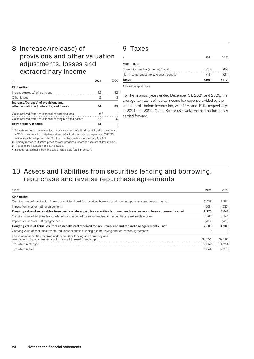### 8 Increase/(release) of provisions and other valuation adjustments, losses and extraordinary income

| in                                                                              | 2021            | 2020            |
|---------------------------------------------------------------------------------|-----------------|-----------------|
| <b>CHF</b> million                                                              |                 |                 |
| Increase/(release) of provisions                                                | 32 <sup>1</sup> | 80 <sup>2</sup> |
| Other losses                                                                    | 2               | 3               |
| Increase/(release) of provisions and<br>other valuation adjustments, and losses | 34              | 85              |
| Gains realized from the disposal of participations                              | 6 <sup>3</sup>  |                 |
| Gains realized from the disposal of tangible fixed assets                       | 37 <sup>4</sup> |                 |
| <b>Extraordinary income</b>                                                     | 43              |                 |

**1** Primarily related to provisions for off-balance sheet default risks and litigation provisions. In 2021, provisions for off-balance sheet default risks included an expense of CHF 33 million from the adoption of the CECL accounting guidance on January 1, 2021.

**2** Primarily related to litigation provisions and provisions for off-balance sheet default risks.

**3** Related to the liquidation of a participation.

**4** Includes realized gains from the sale of real estate (bank premises).

### 9 Taxes

| in                                                  | 2021  | 2020  |
|-----------------------------------------------------|-------|-------|
| <b>CHF</b> million                                  |       |       |
| Current income tax (expense)/benefit                | (238) | (89)  |
| Non-income-based tax (expense)/benefit <sup>1</sup> | (18)  | (21)  |
| Taxes                                               | (256) | (110) |

**1** Includes capital taxes.

For the financial years ended December 31, 2021 and 2020, the average tax rate, defined as income tax expense divided by the sum of profit before income tax, was 16% and 12%, respectively. In 2021 and 2020, Credit Suisse (Schweiz) AG had no tax losses carried forward.

### 10 Assets and liabilities from securities lending and borrowing, repurchase and reverse repurchase agreements

| end of                                                                                                                                             | 2021   | 2020     |
|----------------------------------------------------------------------------------------------------------------------------------------------------|--------|----------|
| <b>CHF</b> million                                                                                                                                 |        |          |
| Carrying value of receivables from cash collateral paid for securities borrowed and reverse repurchase agreements – gross                          | 7,523  | 8,884    |
| Impact from master netting agreements                                                                                                              | (253)  | (236)    |
| Carrying value of receivables from cash collateral paid for securities borrowed and reverse repurchase agreements – net                            | 7,270  | 8,648    |
| Carrying value of liabilities from cash collateral received for securities lent and repurchase agreements – gross                                  | 2.762  | 5,144    |
| Impact from master netting agreements                                                                                                              | (253)  | (236)    |
| Carrying value of liabilities from cash collateral received for securities lent and repurchase agreements – net                                    | 2,509  | 4,908    |
| Carrying value of securities transferred under securities lending and borrowing and repurchase agreements                                          |        | $\Omega$ |
| Fair value of securities received under securities lending and borrowing and<br>reverse repurchase agreements with the right to resell or repledge | 34.351 | 39,364   |
| of which repledged                                                                                                                                 | 12.052 | 14,774   |
| of which resold                                                                                                                                    | .844   | 2.710    |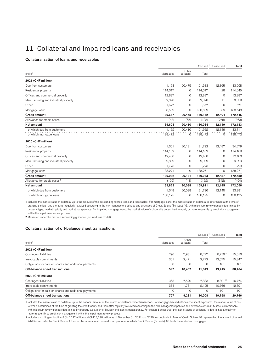### 11 Collateral and impaired loans and receivables

#### **Collateralization of loans and receivables**

|                                          |           |                     | Secured <sup>1</sup> | Unsecured | Total   |
|------------------------------------------|-----------|---------------------|----------------------|-----------|---------|
| end of                                   | Mortgages | Other<br>collateral | Total                |           |         |
| 2021 (CHF million)                       |           |                     |                      |           |         |
| Due from customers                       | 1,158     | 20,475              | 21,633               | 12,365    | 33,998  |
| Residential property                     | 114.617   | 0                   | 114,617              | 28        | 114,645 |
| Offices and commercial property          | 12,887    | $\Omega$            | 12,887               | 0         | 12,887  |
| Manufacturing and industrial property    | 9,328     | 0                   | 9.328                | 11        | 9,339   |
| Other                                    | 1,677     | $\circ$             | 1,677                | $\circ$   | 1,677   |
| Mortgage loans                           | 138,509   | 0                   | 138,509              | 39        | 138,548 |
| Gross amount                             | 139,667   | 20,475              | 160,142              | 12,404    | 172,546 |
| Allowance for credit losses              | (43)      | (65)                | (108)                | (255)     | (363)   |
| Net amount                               | 139,624   | 20,410              | 160,034              | 12,149    | 172,183 |
| of which due from customers              | 1,152     | 20,410              | 21,562               | 12,149    | 33,711  |
| of which mortgage loans                  | 138,472   | 0                   | 138,472              | 0         | 138,472 |
| 2020 (CHF million)                       |           |                     |                      |           |         |
| Due from customers                       | 1,661     | 20,131              | 21,792               | 12,487    | 34,279  |
| Residential property                     | 114,169   | $\Omega$            | 114,169              | 0         | 114,169 |
| Offices and commercial property          | 12,480    | 0                   | 12.480               | 0         | 12,480  |
| Manufacturing and industrial property    | 9,899     | $\circ$             | 9,899                | $\circ$   | 9,899   |
| Other                                    | 1.723     | $\circ$             | 1.723                | $\circ$   | 1.723   |
| Mortgage loans                           | 138,271   | $\Omega$            | 138,271              | $\Omega$  | 138,271 |
| Gross amount                             | 139,932   | 20,131              | 160,063              | 12,487    | 172,550 |
| Allowance for credit losses <sup>2</sup> | (109)     | (43)                | (152)                | (342)     | (494)   |
| Net amount                               | 139,823   | 20,088              | 159,911              | 12,145    | 172,056 |
| of which due from customers              | 1.648     | 20,088              | 21,736               | 12,145    | 33,881  |
| of which mortgage loans                  | 138,175   | 0                   | 138,175              | 0         | 138,175 |

**1** Includes the market value of collateral up to the amount of the outstanding related loans and receivables. For mortgage loans, the market value of collateral is determined at the time of granting the loan and thereafter regularly reviewed according to the risk management policies and directives of Credit Suisse (Schweiz) AG, with maximum review periods determined by property type, market liquidity and market transparency. For impaired mortgage loans, the market value of collateral is determined annually or more frequently by credit risk management within the impairment review process.

**2** Measured under the previous accounting guidance (incurred loss model).

#### **Collateralization of off-balance sheet transactions**

|                                                         |           |                     | Secured <sup>1</sup> | Unsecured          | Total  |
|---------------------------------------------------------|-----------|---------------------|----------------------|--------------------|--------|
| end of                                                  | Mortgages | Other<br>collateral | Total                |                    |        |
| 2021 (CHF million)                                      |           |                     |                      |                    |        |
| Contingent liabilities                                  | 296       | 7,981               | 8,277                | 6.739 <sup>2</sup> | 15,016 |
| Irrevocable commitments                                 | 301       | 2,471               | 2.772                | 12,575             | 15,347 |
| Obligations for calls on shares and additional payments | $\circ$   | $\Omega$            | 0                    | 101                | 101    |
| Off-balance sheet transactions                          | 597       | 10,452              | 11,049               | 19,415             | 30,464 |
| 2020 (CHF million)                                      |           |                     |                      |                    |        |
| Contingent liabilities                                  | 363       | 7,520               | 7,883                | 8,8912             | 16,774 |
| Irrevocable commitments                                 | 364       | 1,761               | 2,125                | 10.766             | 12,891 |
| Obligations for calls on shares and additional payments | $\Omega$  | $\Omega$            | $\Omega$             | 101                | 101    |
| Off-balance sheet transactions                          | 727       | 9,281               | 10,008               | 19,758             | 29,766 |

**1** Includes the market value of collateral up to the notional amount of the related off-balance sheet transaction. For mortgage-backed off-balance sheet exposures, the market value of collateral is determined at the time of granting the credit facility and thereafter regularly reviewed according to the risk management policies and directives of Credit Suisse (Schweiz) AG, with maximum review periods determined by property type, market liquidity and market transparency. For impaired exposures, the market value of collateral is determined annually or more frequently by credit risk management within the impairment review process.

**2** Includes a contingent liability of CHF 627 million and CHF 3,390 million as of December 31, 2021 and 2020, respectively, in favor of Credit Suisse AG representing the amount of actual liabilities recorded by Credit Suisse AG under the international covered bond program for which Credit Suisse (Schweiz) AG holds the underlying mortgages.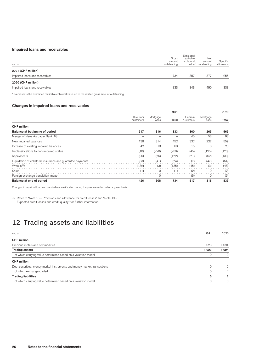#### **Impaired loans and receivables**

| end of                                                                                                                | Gross<br>amount<br>outstanding | Estimated<br>realizable<br>collateral<br>value <sup>1</sup> | Net<br>amount<br>outstanding | Specific<br>allowance |
|-----------------------------------------------------------------------------------------------------------------------|--------------------------------|-------------------------------------------------------------|------------------------------|-----------------------|
| 2021 (CHF million)                                                                                                    |                                |                                                             |                              |                       |
| Impaired loans and receivables                                                                                        | 734                            | 357                                                         | 377                          | 256                   |
| 2020 (CHF million)                                                                                                    |                                |                                                             |                              |                       |
| Impaired loans and receivables                                                                                        | 833                            | 343                                                         | 490                          | 338                   |
| at Figure 2 centralistic contestant discripted in collection is selected as a figure of exception of contents a disco |                                |                                                             |                              |                       |

**1** Represents the estimated realizable collateral value up to the related gross amount outstanding.

#### **Changes in impaired loans and receivables**

|                                                             |                       | 2021              |       |                       |                   | 2020  |
|-------------------------------------------------------------|-----------------------|-------------------|-------|-----------------------|-------------------|-------|
|                                                             | Due from<br>customers | Mortgage<br>loans | Total | Due from<br>customers | Mortgage<br>loans | Total |
| <b>CHF</b> million                                          |                       |                   |       |                       |                   |       |
| Balance at beginning of period                              | 517                   | 316               | 833   | 300                   | 265               | 565   |
| Merger of Neue Aargauer Bank AG                             |                       |                   |       | 45                    | 53                | 98    |
| New impaired balances                                       | 138                   | 314               | 452   | 332                   | 227               | 559   |
| Increase of existing impaired balances                      | 42                    | 18                | 60    | 15                    | 8                 | 23    |
| Reclassifications to non-impaired status                    | (10)                  | (220)             | (230) | (45)                  | (125)             | (170) |
| Repayments                                                  | (96)                  | (76)              | (172) | (71)                  | (62)              | (133) |
| Liquidation of collateral, insurance and guarantee payments | (33)                  | (41)              | (74)  | (7)                   | (47)              | (54)  |
| Write-offs                                                  | (132)                 | (3)               | (135) | (45)                  | (3)               | (48)  |
| Sales                                                       | (1)                   | $\Omega$          | (1)   | (2)                   | $\circ$           | (2)   |
| Foreign exchange translation impact                         |                       | $\Omega$          |       | (5)                   | $\Omega$          | (5)   |
| Balance at end of period                                    | 426                   | 308               | 734   | 517                   | 316               | 833   |

Changes in impaired loan and receivable classification during the year are reflected on a gross basis.

→ Refer to "Note 18 – Provisions and allowance for credit losses" and "Note 19 – Expected credit losses and credit quality" for further information.

### 12 Trading assets and liabilities

| end of                                                                  | 2021     | 2020           |
|-------------------------------------------------------------------------|----------|----------------|
| <b>CHF</b> million                                                      |          |                |
| Precious metals and commodities                                         | 1,023    | 1,094          |
| <b>Trading assets</b>                                                   | 1,023    | 1,094          |
| of which carrying value determined based on a valuation model           | 0        | $\Omega$       |
| <b>CHF</b> million                                                      |          |                |
| Debt securities, money market instruments and money market transactions | $\Omega$ | 2              |
| of which exchange-traded                                                | 0        | $\mathfrak{D}$ |
| <b>Trading liabilities</b>                                              | 0        | 2              |
| of which carrying value determined based on a valuation model           | $\Omega$ | $\Omega$       |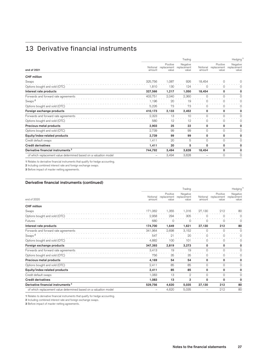### 13 Derivative financial instruments

| replacement<br>Notional<br>end of 2021<br>amount<br><b>CHF</b> million<br>325,756<br>Swaps<br>Options bought and sold (OTC)<br>1,810<br>Interest rate products<br>327,566<br>403,751<br>Forwards and forward rate agreements<br>Swaps <sup>2</sup><br>1,196<br>Options bought and sold (OTC)<br>5,226<br>Foreign exchange products<br>410,173<br>2,323<br>Forwards and forward rate agreements<br>Options bought and sold (OTC)<br>580<br>Precious metal products<br>2,903<br>Options bought and sold (OTC)<br>2,739 | Positive<br>value<br>1,087<br>130<br>1,217<br>2,040<br>20<br>73 | Negative<br>replacement<br>value<br>926<br>124<br>1,050<br>2,360<br>19<br>73 | Notional<br>amount<br>18,454<br>0<br>18,454<br>0<br>$\circ$ | Positive<br>replacement<br>value<br>$\circ$<br>0<br>0<br>$\circ$<br>$\circ$ | Negative<br>replacement<br>value<br>0<br>0<br>0<br>$\Omega$<br>0 |
|----------------------------------------------------------------------------------------------------------------------------------------------------------------------------------------------------------------------------------------------------------------------------------------------------------------------------------------------------------------------------------------------------------------------------------------------------------------------------------------------------------------------|-----------------------------------------------------------------|------------------------------------------------------------------------------|-------------------------------------------------------------|-----------------------------------------------------------------------------|------------------------------------------------------------------|
|                                                                                                                                                                                                                                                                                                                                                                                                                                                                                                                      |                                                                 |                                                                              |                                                             |                                                                             |                                                                  |
|                                                                                                                                                                                                                                                                                                                                                                                                                                                                                                                      |                                                                 |                                                                              |                                                             |                                                                             |                                                                  |
|                                                                                                                                                                                                                                                                                                                                                                                                                                                                                                                      |                                                                 |                                                                              |                                                             |                                                                             |                                                                  |
|                                                                                                                                                                                                                                                                                                                                                                                                                                                                                                                      |                                                                 |                                                                              |                                                             |                                                                             |                                                                  |
|                                                                                                                                                                                                                                                                                                                                                                                                                                                                                                                      |                                                                 |                                                                              |                                                             |                                                                             |                                                                  |
|                                                                                                                                                                                                                                                                                                                                                                                                                                                                                                                      |                                                                 |                                                                              |                                                             |                                                                             |                                                                  |
|                                                                                                                                                                                                                                                                                                                                                                                                                                                                                                                      |                                                                 |                                                                              |                                                             |                                                                             |                                                                  |
|                                                                                                                                                                                                                                                                                                                                                                                                                                                                                                                      |                                                                 |                                                                              | 0                                                           | $\circ$                                                                     | 0                                                                |
|                                                                                                                                                                                                                                                                                                                                                                                                                                                                                                                      | 2,133                                                           | 2,452                                                                        | 0                                                           | 0                                                                           | 0                                                                |
|                                                                                                                                                                                                                                                                                                                                                                                                                                                                                                                      | 13                                                              | 10                                                                           | $\Omega$                                                    | $\Omega$                                                                    | $\Omega$                                                         |
|                                                                                                                                                                                                                                                                                                                                                                                                                                                                                                                      | 12                                                              | 12                                                                           | 0                                                           | $\circ$                                                                     | $\Omega$                                                         |
|                                                                                                                                                                                                                                                                                                                                                                                                                                                                                                                      | 25                                                              | 22                                                                           | 0                                                           | 0                                                                           | 0                                                                |
|                                                                                                                                                                                                                                                                                                                                                                                                                                                                                                                      | 99                                                              | 99                                                                           | $\circ$                                                     | $\circ$                                                                     | $\circ$                                                          |
| Equity/index-related products<br>2,739                                                                                                                                                                                                                                                                                                                                                                                                                                                                               | 99                                                              | 99                                                                           | 0                                                           | 0                                                                           | 0                                                                |
| 1,411<br>Credit default swaps                                                                                                                                                                                                                                                                                                                                                                                                                                                                                        | 20                                                              | 5                                                                            | $\circ$                                                     | $\circ$                                                                     | 0                                                                |
| <b>Credit derivatives</b><br>1,411                                                                                                                                                                                                                                                                                                                                                                                                                                                                                   | 20                                                              | 5                                                                            | 0                                                           | 0                                                                           | 0                                                                |
| Derivative financial instruments <sup>3</sup><br>744,792                                                                                                                                                                                                                                                                                                                                                                                                                                                             | 3,494                                                           | 3,628                                                                        | 18,454                                                      | 0                                                                           | 0                                                                |
| of which replacement value determined based on a valuation model<br>3,494                                                                                                                                                                                                                                                                                                                                                                                                                                            |                                                                 | 3,628                                                                        | $\overline{\phantom{0}}$                                    | $\Omega$                                                                    | $\Omega$                                                         |

**1** Relates to derivative financial instruments that qualify for hedge accounting.

**2** Including combined interest rate and foreign exchange swaps.

**3** Before impact of master netting agreements.

#### **Derivative financial instruments (continued)**

|                                                                  |                    |                                              | Trading           |                    |                   | Hedging                                      |
|------------------------------------------------------------------|--------------------|----------------------------------------------|-------------------|--------------------|-------------------|----------------------------------------------|
| end of 2020                                                      | Notional<br>amount | Positive<br>replacement replacement<br>value | Negative<br>value | Notional<br>amount | Positive<br>value | Negative<br>replacement replacement<br>value |
| <b>CHF</b> million                                               |                    |                                              |                   |                    |                   |                                              |
| Swaps                                                            | 171,062            | 1,355                                        | 1,316             | 27,130             | 212               | 80                                           |
| Options bought and sold (OTC)                                    | 2,958              | 294                                          | 305               | 0                  | $\circ$           | $\circ$                                      |
| Futures                                                          | 680                | $\Omega$                                     | $\Omega$          | 0                  | $\circ$           | $\circ$                                      |
| Interest rate products                                           | 174,700            | 1,649                                        | 1,621             | 27,130             | 212               | 80                                           |
| Forwards and forward rate agreements                             | 341,964            | 2,698                                        | 3,152             | $\Omega$           | $\Omega$          | $\Omega$                                     |
| Swaps <sup>2</sup>                                               | 547                | 21                                           | 20                | 0                  | 0                 | 0                                            |
| Options bought and sold (OTC)                                    | 4,882              | 100                                          | 101               | 0                  | $\circ$           | 0                                            |
| Foreign exchange products                                        | 347,393            | 2,819                                        | 3,273             | 0                  | 0                 | 0                                            |
| Forwards and forward rate agreements                             | 3,413              | 19                                           | 19                | $\Omega$           | $\Omega$          | $\Omega$                                     |
| Options bought and sold (OTC)                                    | 756                | 35                                           | 35                | 0                  | 0                 | 0                                            |
| Precious metal products                                          | 4,169              | 54                                           | 54                | 0                  | 0                 | $\mathbf 0$                                  |
| Options bought and sold (OTC)                                    | 2,411              | 85                                           | 85                | $\circ$            | $\circ$           | $\circ$                                      |
| Equity/index-related products                                    | 2,411              | 85                                           | 85                | 0                  | 0                 | $\mathbf 0$                                  |
| Credit default swaps                                             | 1,083              | 13                                           | $\mathbf{2}$      | $\circ$            | $\circ$           | $\Omega$                                     |
| <b>Credit derivatives</b>                                        | 1,083              | 13                                           | $\overline{2}$    | 0                  | 0                 | $\mathbf 0$                                  |
| Derivative financial instruments <sup>3</sup>                    | 529,756            | 4,620                                        | 5,035             | 27,130             | 212               | 80                                           |
| of which replacement value determined based on a valuation model |                    | 4,620                                        | 5,035             | -                  | 212               | 80                                           |

**1** Relates to derivative financial instruments that qualify for hedge accounting.

**2** Including combined interest rate and foreign exchange swaps.

**3** Before impact of master netting agreements.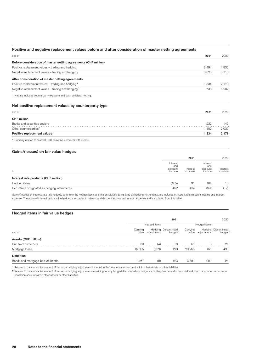| Positive and negative replacement values before and after consideration of master netting agreements |       |       |
|------------------------------------------------------------------------------------------------------|-------|-------|
| end of                                                                                               | 2021  | 2020  |
| Before consideration of master netting agreements (CHF million)                                      |       |       |
| Positive replacement values – trading and hedging                                                    | 3,494 | 4,832 |
| Negative replacement values - trading and hedging                                                    | 3,628 | 5,115 |
| After consideration of master netting agreements                                                     |       |       |
| Positive replacement values – trading and hedging 1                                                  | 1,334 | 2,179 |
| Negative replacement values – trading and hedging 1                                                  | 738   | 1,202 |
| 1 Netting includes counterparty exposure and cash collateral netting.                                |       |       |
| Net positive replacement values by counterparty type                                                 |       |       |
| end of                                                                                               | 2021  | 2020  |
| <b>CHF</b> million                                                                                   |       |       |
| Banks and securities dealers                                                                         | 232   | 149   |
| Other counterparties <sup>1</sup>                                                                    | 1,102 | 2,030 |
| Positive replacement values                                                                          | 1,334 | 2,179 |
| .                                                                                                    |       |       |

**1** Primarily related to bilateral OTC derivative contracts with clients.

#### **Gains/(losses) on fair value hedges**

|                                               |                                       | 2021                | 2020                                  |                     |  |
|-----------------------------------------------|---------------------------------------|---------------------|---------------------------------------|---------------------|--|
| in.                                           | Interest<br>and<br>discount<br>income | Interest<br>expense | Interest<br>and<br>discount<br>income | Interest<br>expense |  |
| Interest rate products (CHF million)          |                                       |                     |                                       |                     |  |
| Hedged items                                  | (465)                                 | 91                  | 104                                   | 13                  |  |
| Derivatives designated as hedging instruments | 452                                   | (86)                | (93)                                  | (12)                |  |

Gains/(losses) on interest rate risk hedges, both from the hedged items and the derivatives designated as hedging instruments, are included in interest and discount income and interest expense. The accrued interest on fair value hedges is recorded in interest and discount income and interest expense and is excluded from this table.

#### **Hedged items in fair value hedges**

| end of                          |          | Hedged items      | 2021                                                                | 2020<br>Hedged items |                   |                                             |
|---------------------------------|----------|-------------------|---------------------------------------------------------------------|----------------------|-------------------|---------------------------------------------|
|                                 | Carrying | value adjustments | Hedging Discontinued<br>ijustments <sup>1</sup> hedges <sup>2</sup> | Carrying             | value adjustments | Hedging Discontinued<br>hedges <sup>2</sup> |
| Assets (CHF million)            |          |                   |                                                                     |                      |                   |                                             |
| Due from customers              | 53       | (4)               | 18                                                                  | 61                   | 3                 | 25                                          |
| Mortgage loans                  | 16,565   | (159)             | 198                                                                 | 20,265               | 161               | 499                                         |
| Liabilities                     |          |                   |                                                                     |                      |                   |                                             |
| Bonds and mortgage-backed bonds | 1.167    | (8)               | 123                                                                 | 3,881                | 201               | 24                                          |

**1** Relates to the cumulative amount of fair value hedging adjustments included in the compensation account within other assets or other liabilities.

**2** Relates to the cumulative amount of fair value hedging adjustments remaining for any hedged items for which hedge accounting has been discontinued and which is included in the compensation account within other assets or other liabilities.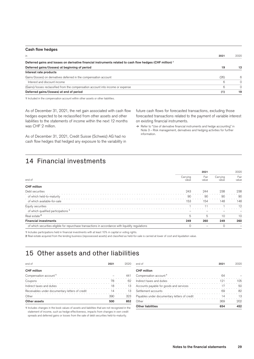| Cash flow hedges                                                                                                     |      |          |
|----------------------------------------------------------------------------------------------------------------------|------|----------|
| in.                                                                                                                  | 2021 | 2020     |
| Deferred gains and losses on derivative financial instruments related to cash flow hedges (CHF million) <sup>1</sup> |      |          |
| Deferred gains/(losses) at beginning of period                                                                       | 19   | 13       |
| Interest rate products                                                                                               |      |          |
| Gains/(losses) on derivatives deferred in the compensation account                                                   | (26) | 6        |
| Interest and discount income                                                                                         | 6    | $\Omega$ |
| (Gains)/losses reclassified from the compensation account into income or expense                                     | 6    | $\Omega$ |
| Deferred gains/(losses) at end of period                                                                             | (1)  | 19       |

**1** Included in the compensation account within other assets or other liabilities.

As of December 31, 2021, the net gain associated with cash flow hedges expected to be reclassified from other assets and other liabilities to the statements of income within the next 12 months was CHF 2 million.

As of December 31, 2021, Credit Suisse (Schweiz) AG had no cash flow hedges that hedged any exposure to the variability in future cash flows for forecasted transactions, excluding those forecasted transactions related to the payment of variable interest on existing financial instruments.

> Refer to "Use of derivative financial instruments and hedge accounting" in Note 3 – Risk management, derivatives and hedging activities for further information.

### 14 Financial investments

|                                                                                                   |                   | 2021          |                   | 2020                     |
|---------------------------------------------------------------------------------------------------|-------------------|---------------|-------------------|--------------------------|
| end of                                                                                            | Carrying<br>value | Fair<br>value | Carrying<br>value | Fair<br>value            |
| <b>CHF</b> million                                                                                |                   |               |                   |                          |
| Debt securities                                                                                   | 243               | 244           | 238               | 238                      |
| of which held-to-maturity                                                                         | 90                | 90            | 90                | 90                       |
| of which available-for-sale                                                                       | 153               | 154           | 148               | 148                      |
| Equity securities                                                                                 |                   | 11            |                   | 12                       |
| of which qualified participations <sup>1</sup>                                                    |                   |               |                   |                          |
| Real estate <sup>2</sup>                                                                          | 5                 | 5             | 10                | 10                       |
| <b>Financial investments</b>                                                                      | 249               | 260           | 249               | 260                      |
| of which securities eligible for repurchase transactions in accordance with liquidity regulations |                   |               | $\Omega$          | $\overline{\phantom{0}}$ |

**1** Includes participations held in financial investments with at least 10% in capital or voting rights.

**2** Real estate acquired from the lending business (repossessed assets) and classified as held-for-sale is carried at lower of cost and liquidation value.

### 15 Other assets and other liabilities

| end of                                          | 2021 | 2020 |
|-------------------------------------------------|------|------|
| <b>CHF</b> million                              |      |      |
| Compensation account <sup>1</sup>               |      | 441  |
| Coupons                                         | 78   | 62   |
| Indirect taxes and duties                       | 18   | 13   |
| Receivables under documentary letters of credit | 14   | 13   |
| Other                                           | 390  | 323  |
| Other assets                                    | 500  | 852  |

| 1 Includes changes in the book values of assets and liabilities that are not recognized in the |
|------------------------------------------------------------------------------------------------|
| statement of income, such as hedge effectiveness, impacts from changes in own credit           |
| spreads and deferred gains or losses from the sale of debt securities held-to-maturity.        |

| end of                                       | 2021 | 2020 |
|----------------------------------------------|------|------|
| <b>CHF</b> million                           |      |      |
| Compensation account <sup>1</sup>            | 64   |      |
| Indirect taxes and duties                    | 121  | 105  |
| Accounts payable for goods and services      | 17   | 50   |
| Settlement accounts                          | 69   | 82   |
| Payables under documentary letters of credit | 14   | 13   |
| Other                                        | 369  | 202  |
| <b>Other liabilities</b>                     | 654  | 452  |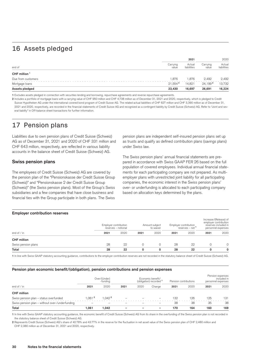### 16 Assets pledged

|                    |                   | 2021                  | 2020              |                       |  |
|--------------------|-------------------|-----------------------|-------------------|-----------------------|--|
| end of             | Carrying<br>value | Actual<br>liabilities | Carrying<br>value | Actual<br>liabilities |  |
| CHF million $1$    |                   |                       |                   |                       |  |
| Due from customers | 1,876             | .876                  | 2,492             | 2,492                 |  |
| Mortgage loans     | 21.5542           | 14.821                | 24.1992           | 13,732                |  |
| Assets pledged     | 23,430            | 16,697                | 26,691            | 16,224                |  |

**1** Excludes assets pledged in connection with securities lending and borrowing, repurchase agreements and reverse repurchase agreements.

**2** Includes a portfolio of mortgage loans with a carrying value of CHF 950 million and CHF 4,738 million as of December 31, 2021 and 2020, respectively, which is pledged to Credit Suisse Hypotheken AG under the international covered bond program of Credit Suisse AG. The related actual liabilities of CHF 627 million and CHF 3,390 million as of December 31, 2021 and 2020, respectively, are recorded in the financial statements of Credit Suisse AG and recognized as a contingent liability by Credit Suisse (Schweiz) AG. Refer to "Joint and several liability" in Off-balance sheet transactions for further information.

### 17 Pension plans

Liabilities due to own pension plans of Credit Suisse (Schweiz) AG as of December 31, 2021 and 2020 of CHF 331 million and CHF 643 million, respectively, are reflected in various liability accounts in the balance sheet of Credit Suisse (Schweiz) AG.

#### **Swiss pension plans**

The employees of Credit Suisse (Schweiz) AG are covered by the pension plan of the "Pensionskasse der Credit Suisse Group (Schweiz)" and "Pensionskasse 2 der Credit Suisse Group (Schweiz)" (the Swiss pension plans). Most of the Group's Swiss subsidiaries and a few companies that have close business and financial ties with the Group participate in both plans. The Swiss pension plans are independent self-insured pension plans set up as trusts and qualify as defined contribution plans (savings plans) under Swiss law.

The Swiss pension plans' annual financial statements are prepared in accordance with Swiss GAAP FER 26 based on the full population of covered employees. Individual annual financial statements for each participating company are not prepared. As multiemployer plans with unrestricted joint liability for all participating companies, the economic interest in the Swiss pension plans' over- or underfunding is allocated to each participating company based on allocation keys determined by the plans.

#### **Employer contribution reserves**

|                     |      | Employer contribution<br>reserves - notional |      | Amount subject<br>to waiver |      | Employer contribution<br>$reserves - net$ <sup>1</sup> |      | Increase/(Release) of<br>employer contribution<br>reserves included in<br>personnel expenses |  |
|---------------------|------|----------------------------------------------|------|-----------------------------|------|--------------------------------------------------------|------|----------------------------------------------------------------------------------------------|--|
| end of / in         | 2021 | 2020                                         | 2021 | 2020                        | 2021 | 2020                                                   | 2021 | 2020                                                                                         |  |
| <b>CHF</b> million  |      |                                              |      |                             |      |                                                        |      |                                                                                              |  |
| Swiss pension plans | 28   | 22                                           |      |                             | 28   | 22                                                     |      | Ω                                                                                            |  |
| Total               | 28   | 22                                           |      |                             | 28   | 22                                                     | 0    | 0                                                                                            |  |

**1** In line with Swiss GAAP statutory accounting guidance, contributions to the employer contribution reserves are not recorded in the statutory balance sheet of Credit Suisse (Schweiz) AG.

#### **Pension plan economic benefit/(obligation), pension contributions and pension expenses**

|                                                 |                    | Over/(Under)<br>Economic benefit/<br>(obligation) recorded <sup>1</sup><br>-fundina |                          |      | Pension contributions |      | Pension expenses<br>included in<br>personnel expenses |      |      |
|-------------------------------------------------|--------------------|-------------------------------------------------------------------------------------|--------------------------|------|-----------------------|------|-------------------------------------------------------|------|------|
| end of / in                                     | 2021               | 2020                                                                                | 2021                     | 2020 | Change                | 2021 | 2020                                                  | 2021 | 2020 |
| <b>CHF</b> million                              |                    |                                                                                     |                          |      |                       |      |                                                       |      |      |
| Swiss pension plan – status overfunded          | 1,061 <sup>2</sup> | l.042 <sup>2</sup>                                                                  | $\overline{\phantom{a}}$ |      |                       | 132  | 126                                                   | 125  | 131  |
| Swiss pension plan – without over-/underfunding |                    |                                                                                     |                          |      |                       | 38   | 38                                                    | 35   | 38   |
| Total                                           | 1.061              | 1,042                                                                               | -                        |      | -                     | 170  | 164                                                   | 160  | 169  |

**1** In line with Swiss GAAP statutory accounting guidance, the economic benefit of Credit Suisse (Schweiz) AG from its share in the overfunding of the Swiss pension plan is not recorded in the statutory balance sheet of Credit Suisse (Schweiz) AG.

**2** Represents Credit Suisse (Schweiz) AG's share of 42.78% and 43.77% in the reserve for the fluctuation in net asset value of the Swiss pension plan of CHF 2,480 million and CHF 2,380 million as of December 31, 2021 and 2020, respectively.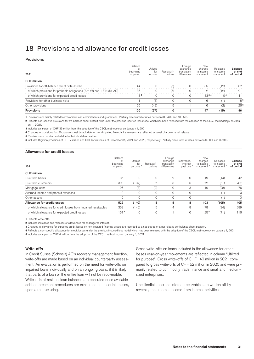### 18 Provisions and allowance for credit losses

#### **Provisions**

| 2021                                                                   | Balance<br>at<br>beginning<br>of period | Utilized<br>for<br>purpose | Reclassifi-<br>cations | Foreign<br>exchange<br>translation<br>differences | New<br>charges<br>to income<br>statement | Releases<br>to income<br>statement | <b>Balance</b><br>at end<br>of period |
|------------------------------------------------------------------------|-----------------------------------------|----------------------------|------------------------|---------------------------------------------------|------------------------------------------|------------------------------------|---------------------------------------|
| <b>CHF</b> million                                                     |                                         |                            |                        |                                                   |                                          |                                    |                                       |
| Provisions for off-balance sheet default risks                         | 44                                      | O                          | (5)                    | Ω                                                 | 35                                       | (12)                               | 62 <sup>1</sup>                       |
| of which provisions for probable obligations (Art. 28 par. 1 FINMA-AO) | 36                                      |                            | (5)                    |                                                   |                                          | (12)                               | 21                                    |
| of which provisions for expected credit losses                         | 8 <sup>2</sup>                          | Ω                          |                        | $\Omega$                                          | $33^{3,4}$                               | 0 <sup>4</sup>                     | 41                                    |
| Provisions for other business risks                                    |                                         | (8)                        | $\circ$                | 0                                                 | 6                                        | (1)                                | 85                                    |
| Other provisions                                                       | 65                                      | (49)                       | 5                      |                                                   | 6                                        | (2)                                | 26 <sup>6</sup>                       |
| <b>Provisions</b>                                                      | 120                                     | (57)                       | $\mathbf 0$            |                                                   | 47                                       | (15)                               | 96                                    |

**1** Provisions are mainly related to irrevocable loan commitments and guarantees. Partially discounted at rates between (0.84)% and 13.35%.

**2** Reflects non-specific provisions for off-balance sheet default risks under the previous incurred loss model which has been released with the adoption of the CECL methodology on January 1, 2021.

**3** Includes an impact of CHF 33 million from the adoption of the CECL methodology on January 1, 2021.

**4** Changes in provisions for off-balance sheet default risks on non-impaired financial instruments are reflected as a net charge or a net release.

**5** Provisions are not discounted due to their short-term nature.

**6** Includes litigation provisions of CHF 7 million and CHF 52 million as of December 31, 2021 and 2020, respectively. Partially discounted at rates between 0.00% and 3.59%.

#### **Allowance for credit losses**

| 2021                                                           | Balance<br>at<br>beginning<br>of period | Utilized<br>for<br>purpose | Reclassifi-<br>cations | Foreign<br>exchange<br>translation<br>differences | Recoveries,<br>interest<br>past due <sup>2</sup> | New<br>charges<br>to income<br>statement <sup>3</sup> | Releases<br>to income<br>statement <sup>3</sup> | <b>Balance</b><br>at end<br>of period |
|----------------------------------------------------------------|-----------------------------------------|----------------------------|------------------------|---------------------------------------------------|--------------------------------------------------|-------------------------------------------------------|-------------------------------------------------|---------------------------------------|
| <b>CHF</b> million                                             |                                         |                            |                        |                                                   |                                                  |                                                       |                                                 |                                       |
| Due from banks                                                 | 35                                      | $\Omega$                   | 0                      | 2                                                 | $\circ$                                          | 19                                                    | (14)                                            | 42                                    |
| Due from customers                                             | 398                                     | (137)                      |                        | 3                                                 | 5                                                | 72                                                    | (61)                                            | 287                                   |
| Mortgage loans                                                 | 96                                      | (3)                        | (2)                    | 0                                                 | 3                                                | 10                                                    | (28)                                            | 76                                    |
| Accrued income and prepaid expenses                            | Ω                                       | $\Omega$                   | $\Omega$               | $\Omega$                                          | $\Omega$                                         |                                                       | (1)                                             | $\circ$                               |
| Other assets                                                   | 0                                       | $\Omega$                   | $\Omega$               | $\Omega$                                          | $\Omega$                                         |                                                       | (1)                                             | $\circ$                               |
| Allowance for credit losses                                    | 529                                     | (140)                      | 5                      | 5                                                 | 8                                                | 103                                                   | (105)                                           | 405                                   |
| of which allowance for credit losses from impaired receivables | 368                                     | (140)                      | 5                      |                                                   | 8                                                | 78                                                    | (34)                                            | 289                                   |
| of which allowance for expected credit losses                  | 161 <sup>4</sup>                        |                            |                        |                                                   |                                                  | $25^{\frac{5}{2}}$                                    | (71)                                            | 116                                   |

**1** Reflects write-offs.

**2** Includes increases and releases of allowances for endangered interest.

**3** Changes in allowance for expected credit losses on non-impaired financial assets are recorded as a net charge or a net release per balance sheet position.

**4** Reflects a non-specific allowance for credit losses under the previous incurred loss model which has been released with the adoption of the CECL methodology on January 1, 2021.

**5** Includes an impact of CHF 4 million from the adoption of the CECL methodology on January 1, 2021.

#### **Write-offs**

In Credit Suisse (Schweiz) AG's recovery management function, write-offs are made based on an individual counterparty assessment. An evaluation is performed on the need for write-offs on impaired loans individually and on an ongoing basis, if it is likely that parts of a loan or the entire loan will not be recoverable. Write-offs of residual loan balances are executed once available debt enforcement procedures are exhausted or, in certain cases, upon a restructuring.

Gross write-offs on loans included in the allowance for credit losses year-on-year movements are reflected in column "Utilized for purpose". Gross write-offs of CHF 140 million in 2021 compared to gross write-offs of CHF 52 million in 2020 and were primarily related to commodity trade finance and small and mediumsized enterprises.

Uncollectible accrued interest receivables are written off by reversing net interest income from interest activities.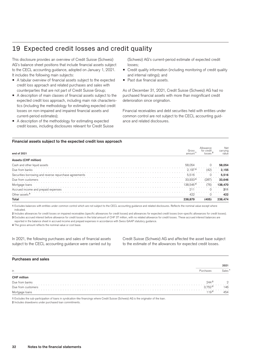### 19 Expected credit losses and credit quality

This disclosure provides an overview of Credit Suisse (Schweiz) AG's balance sheet positions that include financial assets subject to the CECL accounting guidance, adopted on January 1, 2021. It includes the following main subjects:

- A tabular overview of financial assets subject to the expected credit loss approach and related purchases and sales with counterparties that are not part of Credit Suisse Group;
- A description of main classes of financial assets subject to the expected credit loss approach, including main risk characteristics (including the methodology for estimating expected credit losses on non-impaired and impaired financial assets and current-period estimates);
- A description of the methodology for estimating expected credit losses, including disclosures relevant for Credit Suisse

(Schweiz) AG's current-period estimate of expected credit losses;

- **P** Credit quality information (including monitoring of credit quality and internal ratings); and
- Past due financial assets.

As of December 31, 2021, Credit Suisse (Schweiz) AG had no purchased financial assets with more than insignificant credit deterioration since origination.

Financial receivables and debt securities held with entities under common control are not subject to the CECL accounting guidance and related disclosures.

#### **Financial assets subject to the expected credit loss approach**

| end of 2021                                            | Gross<br>amount      | Allowance<br>for credit<br>losses <sup>2</sup> | Net<br>carrying<br>value |
|--------------------------------------------------------|----------------------|------------------------------------------------|--------------------------|
| Assets (CHF million)                                   |                      |                                                |                          |
| Cash and other liquid assets                           | 58,054               | $\circ$                                        | 58,054                   |
| Due from banks                                         | 2.197 <sup>3</sup>   | (42)                                           | 2,155                    |
| Securities borrowing and reverse repurchase agreements | 5.516                | 0                                              | 5,516                    |
| Due from customers                                     | 33,9333              | (287)                                          | 33,646                   |
| Mortgage loans                                         | 138,546 <sup>3</sup> | (76)                                           | 138,470                  |
| Accrued income and prepaid expenses                    | 211                  | $\cap$                                         | 211                      |
| Other assets <sup>4</sup>                              | 422                  |                                                | 422                      |
| Total                                                  | 238,879              | (405)                                          | 238,474                  |

**1** Excludes balances with entities under common control which are not subject to the CECL accounting guidance and related disclosures. Reflects the nominal value except where indicated.

**2** Includes allowances for credit losses on impaired receivables (specific allowances for credit losses) and allowances for expected credit losses (non-specific allowances for credit losses). **3** Excludes accrued interest before allowance for credit losses in the total amount of CHF 37 million, with no related allowance for credit losses. These accrued interest balances are

reported in the balance sheet in accrued income and prepaid expenses in accordance with Swiss GAAP statutory guidance.

**4** The gross amount reflects the nominal value or cost base.

In 2021, the following purchases and sales of financial assets subject to the CECL accounting guidance were carried out by Credit Suisse (Schweiz) AG and affected the asset base subject to the estimate of the allowances for expected credit losses.

#### **Purchases and sales**

|                    |                    | 2021 |
|--------------------|--------------------|------|
| in                 | Purchases          |      |
| <b>CHF</b> million |                    |      |
| Due from banks     | 244 <sup>2</sup>   |      |
| Due from customers | 3.752 <sup>2</sup> | 146  |
| Mortgage loans     | 119 <sup>2</sup>   | 454  |

**1** Excludes the sub-participation of loans in syndication-like financings where Credit Suisse (Schweiz) AG is the originator of the loan.

**2** Includes drawdowns under purchased loan commitments.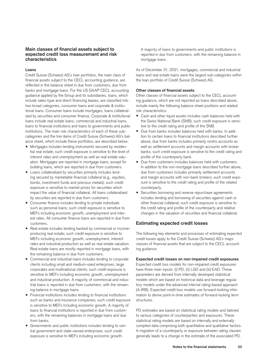#### **Main classes of financial assets subject to expected credit loss measurement and risk characteristics**

#### **Loans**

Credit Suisse (Schweiz) AG's loan portfolios, the main class of financial assets subject to the CECL accounting guidance, are reflected in the balance sheet in due from customers, due from banks and mortgage loans. For the US GAAP CECL accounting guidance applied by the Group and its subsidiaries, loans, which include sales-type and direct financing leases, are classified into two broad categories, consumer loans and corporate & institutional loans. Consumer loans include mortgages, loans collateralized by securities and consumer finance. Corporate & institutional loans include real estate loans, commercial and industrial loans, loans to financial institutions and loans to governments and public institutions. The main risk characteristics of each of these subcategories and the line items of Credit Suisse (Schweiz) AG's balance sheet, which include these portfolios, are described below:

- p Mortgages includes lending instruments secured by residential real estate; such credit exposure is sensitive to the level of interest rates and unemployment as well as real estate valuation. Mortgages are reported in mortgage loans, except for building loans, which are reported in due from customers.
- Loans collateralized by securities primarily includes lending secured by marketable financial collateral (e.g., equities, bonds, investment funds and precious metals); such credit exposure is sensitive to market prices for securities which impact the value of financial collateral. All loans collateralized by securities are reported in due from customers.
- Consumer finance includes lending to private individuals such as personal loans; such credit exposure is sensitive to MEFs including economic growth, unemployment and interest rates. All consumer finance loans are reported in due from customers.
- Real estate includes lending backed by commercial or incomeproducing real estate; such credit exposure is sensitive to MEFs including economic growth, unemployment, interest rates and industrial production as well as real estate valuation. Real estate loans are mostly reported in mortgage loans, with the remaining balance in due from customers.
- Commercial and industrial loans includes lending to corporate clients including small and medium-sized enterprises, large corporates and multinational clients; such credit exposure is sensitive to MEFs including economic growth, unemployment and industrial production. A majority of commercial and industrial loans is reported in due from customers, with the remaining balance in mortgage loans.
- Financial institutions includes lending to financial institutions such as banks and insurance companies; such credit exposure is sensitive to MEFs including economic growth. A majority of loans to financial institutions is reported in due from customers, with the remaining balances in mortgage loans and due from banks.
- p Governments and public institutions includes lending to central government and state-owned enterprises; such credit exposure is sensitive to MEFs including economic growth.

A majority of loans to governments and public institutions is reported in due from customers, with the remaining balance in mortgage loans.

As of December 31, 2021, mortgages, commercial and industrial loans and real estate loans were the largest sub-categories within the loan portfolio of Credit Suisse (Schweiz) AG.

#### **Other classes of financial assets**

Other classes of financial assets subject to the CECL accounting guidance, which are not reported as loans described above, include mainly the following balance sheet positions and related risk characteristics:

- Cash and other liquid assets includes cash balances held with the Swiss National Bank (SNB); such credit exposure is sensitive to the credit rating and profile of the SNB.
- Due from banks includes balances held with banks. In addition to certain loans to financial institutions described further above, due from banks includes primarily nostro accounts as well as settlement accounts and margin accounts with broker banks; such credit exposure is sensitive to the credit rating and profile of the counterparty bank.
- Due from customers includes balances held with customers. In addition to the non-mortgage loans described further above, due from customers includes primarily settlement accounts and margin accounts with non-bank brokers; such credit exposure is sensitive to the credit rating and profile of the related counterparty.
- **B** Securities borrowing and reverse repurchase agreements includes lending and borrowing of securities against cash or other financial collateral; such credit exposure is sensitive to the credit rating and profile of the counterparty and relative changes in the valuation of securities and financial collateral.

#### **Estimating expected credit losses**

The following key elements and processes of estimating expected credit losses apply to the Credit Suisse (Schweiz) AG's major classes of financial assets that are subject to the CECL accounting guidance.

#### **Expected credit losses on non-impaired credit exposures**

Expected credit loss models for non-impaired credit exposures have three main inputs: (i) PD, (ii) LGD and (iii) EAD. These parameters are derived from internally developed statistical models which are based on historical data and leverage regulatory models under the advanced internal rating-based approach (A-IRB). Expected credit loss models use forward-looking information to derive point-in-time estimates of forward-looking term structures.

PD estimates are based on statistical rating models and tailored to various categories of counterparties and exposures. These statistical rating models are based on internally and externally compiled data comprising both quantitative and qualitative factors. A migration of a counterparty or exposure between rating classes generally leads to a change in the estimate of the associated PD.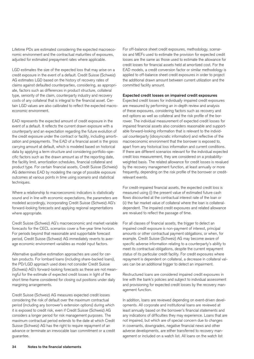Lifetime PDs are estimated considering the expected macroeconomic environment and the contractual maturities of exposures, adjusted for estimated prepayment rates where applicable.

LGD estimates the size of the expected loss that may arise on a credit exposure in the event of a default. Credit Suisse (Schweiz) AG estimates LGD based on the history of recovery rates of claims against defaulted counterparties, considering, as appropriate, factors such as differences in product structure, collateral type, seniority of the claim, counterparty industry and recovery costs of any collateral that is integral to the financial asset. Certain LGD values are also calibrated to reflect the expected macroeconomic environment.

EAD represents the expected amount of credit exposure in the event of a default. It reflects the current drawn exposure with a counterparty and an expectation regarding the future evolution of the credit exposure under the contract or facility, including amortization and prepayments. The EAD of a financial asset is the gross carrying amount at default, which is modeled based on historical data by applying a term structure and considering portfolio-specific factors such as the drawn amount as of the reporting date, the facility limit, amortization schedules, financial collateral and product type. For certain financial assets, Credit Suisse (Schweiz) AG determines EAD by modeling the range of possible exposure outcomes at various points in time using scenario and statistical techniques.

Where a relationship to macroeconomic indicators is statistically sound and in line with economic expectations, the parameters are modeled accordingly, incorporating Credit Suisse (Schweiz) AG's forward-looking forecasts and applying regional segmentations where appropriate.

Credit Suisse (Schweiz) AG's macroeconomic and market variable forecasts for the CECL scenarios cover a five-year time horizon. For periods beyond that reasonable and supportable forecast period, Credit Suisse (Schweiz) AG immediately reverts to average economic environment variables as model input factors.

Alternative qualitative estimation approaches are used for certain products. For lombard loans (including share-backed loans), the PD/LGD approach used does not consider Credit Suisse (Schweiz) AG's forward-looking forecasts as these are not meaningful for the estimate of expected credit losses in light of the short time-frame considered for closing out positions under daily margining arrangements.

Credit Suisse (Schweiz) AG measures expected credit losses considering the risk of default over the maximum contractual period (including any borrower's extension options) during which it is exposed to credit risk, even if Credit Suisse (Schweiz) AG considers a longer period for risk management purposes. The maximum contractual period extends to the date at which Credit Suisse (Schweiz) AG has the right to require repayment of an advance or terminate an irrevocable loan commitment or a credit guarantee.

For off-balance sheet credit exposures, methodology, scenarios and MEFs used to estimate the provision for expected credit losses are the same as those used to estimate the allowance for credit losses for financial assets held at amortized cost. For the EAD models, a credit conversion factor or similar methodology is applied to off-balance sheet credit exposures in order to project the additional drawn amount between current utilization and the committed facility amount.

#### **Expected credit losses on impaired credit exposures**

Expected credit losses for individually impaired credit exposures are measured by performing an in-depth review and analysis of these exposures, considering factors such as recovery and exit options as well as collateral and the risk profile of the borrower. The individual measurement of expected credit losses for impaired financial assets also considers reasonable and supportable forward-looking information that is relevant to the individual counterparty (idiosyncratic information) and reflective of the macroeconomic environment that the borrower is exposed to, apart from any historical loss information and current conditions. If there are different scenarios relevant for the individual expected credit loss measurement, they are considered on a probabilityweighted basis. The related allowance for credit losses is revalued by the recovery management function, at least annually or more frequently, depending on the risk profile of the borrower or creditrelevant events.

For credit-impaired financial assets, the expected credit loss is measured using (i) the present value of estimated future cash flows discounted at the contractual interest rate of the loan or (ii) the fair market value of collateral where the loan is collateraldependent. The impaired credit exposures and related allowance are revalued to reflect the passage of time.

For all classes of financial assets, the trigger to detect an impaired credit exposure is non-payment of interest, principal amounts or other contractual payment obligations, or when, for example, Credit Suisse (Schweiz) AG may become aware of specific adverse information relating to a counterparty's ability to meet its contractual obligations, despite the current repayment status of its particular credit facility. For credit exposures where repayment is dependent on collateral, a decrease in collateral values can be an additional trigger to detect an impairment.

Restructured loans are considered impaired credit exposures in line with the bank's policies and subject to individual assessment and provisioning for expected credit losses by the recovery management function.

In addition, loans are reviewed depending on event-driven developments. All corporate and institutional loans are reviewed at least annually based on the borrower's financial statements and any indications of difficulties they may experience. Loans that are not impaired, but which are of special concern due to changes in covenants, downgrades, negative financial news and other adverse developments, are either transferred to recovery management or included on a watch list. All loans on the watch list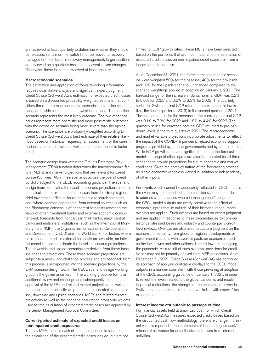are reviewed at least quarterly to determine whether they should be released, remain on the watch list or be moved to recovery management. For loans in recovery management, larger positions are reviewed on a quarterly basis for any event-driven changes. Otherwise, these loans are reviewed at least annually.

#### **Macroeconomic scenarios**

The estimation and application of forward-looking information requires quantitative analysis and significant expert judgment. Credit Suisse (Schweiz) AG's estimation of expected credit losses is based on a discounted probability-weighted estimate that considers three future macroeconomic scenarios: a baseline scenario, an upside scenario and a downside scenario. The baseline scenario represents the most likely outcome. The two other scenarios represent more optimistic and more pessimistic outcomes, with the downside scenario being more severe than the upside scenario. The scenarios are probability-weighted according to Credit Suisse (Schweiz) AG's best estimate of their relative likelihood based on historical frequency, an assessment of the current business and credit cycles as well as the macroeconomic factor trends.

The scenario design team within the Group's Enterprise Risk Management (ERM) function determines the macroeconomic factors (MEFs) and market projections that are relevant for Credit Suisse (Schweiz) AG's three scenarios across the overall credit portfolio subject to the CECL accounting guidance. The scenario design team formulates the baseline scenario projections used for the calculation of expected credit losses from the Group's global chief investment office in-house economic research forecasts and, where deemed appropriate, from external sources such as the Bloomberg consensus of economist forecasts (covering the views of other investment banks and external economic consultancies), forecasts from nonpartisan think tanks, major central banks and multilateral institutions, such as the International Monetary Fund (IMF), the Organisation for Economic Co-operation and Development (OECD) and the World Bank. For factors where no in-house or credible external forecasts are available, an internal model is used to calibrate the baseline scenario projections. The downside and upside scenarios are derived from these baseline scenario projections. These three scenario projections are subject to a review and challenge process and any feedback from this process is incorporated into the scenario projections by the ERM scenario design team. The CECL scenario design working group is the governance forum. The working group performs an additional review and challenge and subsequently recommends approval of the MEFs and related market projections as well as the occurrence probability weights that are allocated to the baseline, downside and upside scenarios. MEFs and related market projections as well as the scenario occurrence probability weights used for the calculation of expected credit losses are approved by the Senior Management Approval Committee.

#### **Current-period estimate of expected credit losses on non-impaired credit exposures**

The key MEFs used in each of the macroeconomic scenarios for the calculation of the expected credit losses include, but are not

limited to, GDP growth rates. These MEFs have been selected based on the portfolios that are most material to the estimation of expected credit losses on non-impaired credit exposures from a longer-term perspective.

As of December 31, 2021, the forecast macroeconomic scenarios were weighted 50% for the baseline, 40% for the downside and 10% for the upside scenario, unchanged compared to the scenario weightings applied at adoption on January 1, 2021. The forecast range for the increase in Swiss nominal GDP was 0.2% to 5.0% for 2022 and 0.6% to 3.3% for 2023. The quarterly series for Swiss nominal GDP returned to pre-pandemic levels (i.e., the fourth quarter of 2019) in the second quarter of 2021. The forecast range for the increase in the eurozone nominal GDP was 0.1% to 7.3% for 2022 and 1.8% to 4.4% for 2023. The quarterly series for eurozone nominal GDP returned to pre-pandemic levels in the third quarter of 2021. The macroeconomic and market variable projections incorporate adjustments to reflect the impact of the COVID-19 pandemic related economic support programs provided by national governments and by central banks. While GDP growth rates are significant inputs to the forecast models, a range of other inputs are also incorporated for all three scenarios to provide projections for future economic and market conditions. Given the complex nature of the forecasting process, no single economic variable is viewed in isolation or independently of other inputs.

For events which cannot be adequately reflected in CECL models the event may be embedded in the baseline scenario. In order to address circumstances where in management's judgment the CECL model outputs are overly sensitive to the effect of economic inputs that lie outside of their historical range, model overlays are applied. Such overlays are based on expert judgment and are applied in response to these circumstances to consider historical stressed losses and industry and counterparty credit level reviews. Overlays are also used to capture judgment on the economic uncertainty from global or regional developments or governmental actions with severe impacts on economies, such as the lockdowns and other actions directed towards managing the pandemic. As a result of such overlays, provisions for credit losses may not be primarily derived from MEF projections. As of December 31, 2021, Credit Suisse (Schweiz) AG has continued its approach of applying qualitative overlays to the CECL model outputs in a manner consistent with those prevailing at adoption of the CECL accounting guidance on January 1, 2021, in order to reflect the levels related to the global pandemic and resulting social restrictions, the strength of the economic recovery in Switzerland and to maintain the reserves in line with experts' loss expectations.

#### **Interest income attributable to passage of time**

For financial assets held at amortized cost, for which Credit Suisse (Schweiz) AG measures expected credit losses based on the discounted cash flow methodology, the entire change in present value is reported in the statements of income in (increase)/ release of allowance for default risks and losses from interest activities.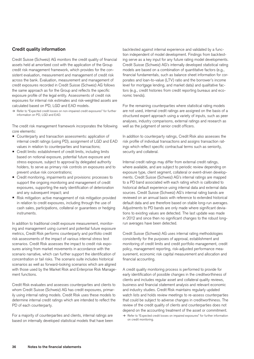#### **Credit quality information**

Credit Suisse (Schweiz) AG monitors the credit quality of financial assets held at amortized cost with the application of the Group credit risk management framework, which provides for the consistent evaluation, measurement and management of credit risk across the bank. Evaluation, measurement and management of credit exposures recorded in Credit Suisse (Schweiz) AG follows the same approach as for the Group and reflects the specific exposure profile of the legal entity. Assessments of credit risk exposures for internal risk estimates and risk-weighted assets are calculated based on PD, LGD and EAD models.

→ Refer to "Expected credit losses on non-impaired credit exposures" for further information on PD, LGD and EAD.

The credit risk management framework incorporates the following core elements:

- Counterparty and transaction assessments: application of internal credit ratings (using PD), assignment of LGD and EAD values in relation to counterparties and transactions;
- Credit limits: establishment of credit limits, including limits based on notional exposure, potential future exposure and stress exposure, subject to approval by delegated authority holders, to serve as primary risk controls on exposures and to prevent undue risk concentrations;
- p Credit monitoring, impairments and provisions: processes to support the ongoing monitoring and management of credit exposures, supporting the early identification of deterioration and any subsequent impact; and
- Risk mitigation: active management of risk mitigation provided in relation to credit exposures, including through the use of cash sales, participations, collateral or guarantees or hedging instruments.

In addition to traditional credit exposure measurement, monitoring and management using current and potential future exposure metrics, Credit Risk performs counterparty and portfolio credit risk assessments of the impact of various internal stress test scenarios. Credit Risk assesses the impact to credit risk exposures arising from market movements in accordance with the scenario narrative, which can further support the identification of concentration or tail risks. The scenario suite includes historical scenarios as well as forward-looking scenarios which are aligned with those used by the Market Risk and Enterprise Risk Management functions.

Credit Risk evaluates and assesses counterparties and clients to whom Credit Suisse (Schweiz) AG has credit exposures, primarily using internal rating models. Credit Risk uses these models to determine internal credit ratings which are intended to reflect the PD of each counterparty.

For a majority of counterparties and clients, internal ratings are based on internally developed statistical models that have been backtested against internal experience and validated by a function independent of model development. Findings from backtesting serve as a key input for any future rating model developments. Credit Suisse (Schweiz) AG's internally developed statistical rating models are based on a combination of quantitative factors (e.g., financial fundamentals, such as balance sheet information for corporates and loan-to-value (LTV) ratio and the borrower's income level for mortgage lending, and market data) and qualitative factors (e.g., credit histories from credit reporting bureaus and economic trends).

For the remaining counterparties where statistical rating models are not used, internal credit ratings are assigned on the basis of a structured expert approach using a variety of inputs, such as peer analyses, industry comparisons, external ratings and research as well as the judgment of senior credit officers.

In addition to counterparty ratings, Credit Risk also assesses the risk profile of individual transactions and assigns transaction ratings which reflect specific contractual terms such as seniority, security and collateral.

Internal credit ratings may differ from external credit ratings, where available, and are subject to periodic review depending on exposure type, client segment, collateral or event-driven developments. Credit Suisse (Schweiz) AG's internal ratings are mapped to a PD band associated with each rating which is calibrated to historical default experience using internal data and external data sources. Credit Suisse (Schweiz) AG's internal rating bands are reviewed on an annual basis with reference to extended historical default data and are therefore based on stable long-run averages. Adjustments to PD bands are only made where significant deviations to existing values are detected. The last update was made in 2012 and since then no significant changes to the robust longrun averages have been detected.

Credit Suisse (Schweiz) AG uses internal rating methodologies consistently for the purposes of approval, establishment and monitoring of credit limits and credit portfolio management, credit policy, management reporting, risk-adjusted performance measurement, economic risk capital measurement and allocation and financial accounting.

A credit quality monitoring process is performed to provide for early identification of possible changes in the creditworthiness of clients and includes regular asset and collateral quality reviews, business and financial statement analysis and relevant economic and industry studies. Credit Risk maintains regularly updated watch lists and holds review meetings to re-assess counterparties that could be subject to adverse changes in creditworthiness. The review of the credit quality of clients and counterparties does not depend on the accounting treatment of the asset or commitment.

→ Refer to "Expected credit losses on impaired exposures" for further information on credit monitoring.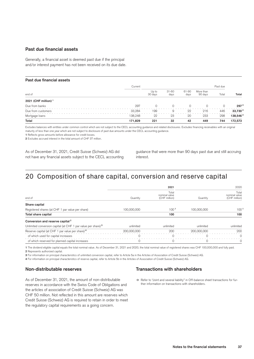#### **Past due financial assets**

Generally, a financial asset is deemed past due if the principal and/or interest payment has not been received on its due date.

#### **Past due financial assets**

|                        | Current |                  |                   |               |                      | Past due |                  |
|------------------------|---------|------------------|-------------------|---------------|----------------------|----------|------------------|
| end of                 |         | Up to<br>30 days | $31 - 60$<br>days | 61-90<br>days | More than<br>90 days | Total    | Total            |
| 2021 (CHF million) $1$ |         |                  |                   |               |                      |          |                  |
| Due from banks         | 297     |                  |                   | $\Omega$      |                      | $\Omega$ | 297 <sup>2</sup> |
| Due from customers     | 33.284  | 199              | 9                 | 22            | 216                  | 446      | 33,730           |
| Mortgage loans         | 138,248 | 22               | 23                | 20            | 233                  | 298      | 138,546          |
| Total                  | 171,829 | 221              | 32                | 42            | 449                  | 744      | 172,573          |

Excludes balances with entities under common control which are not subject to the CECL accounting guidance and related disclosures. Excludes financing receivables with an original maturity of less than one year which are not subject to disclosure of past due amounts under the CECL accounting guidance.

**1** Reflects gross amounts before allowance for credit losses.

**2** Excludes accrued interest in the total amount of CHF 37 million.

As of December 31, 2021, Credit Suisse (Schweiz) AG did not have any financial assets subject to the CECL accounting guidance that were more than 90 days past due and still accruing interest.

### 20 Composition of share capital, conversion and reserve capital

|                                                                          |             | 2021                                    |             | 2020                                    |
|--------------------------------------------------------------------------|-------------|-----------------------------------------|-------------|-----------------------------------------|
| end of                                                                   | Quantity    | Total<br>nominal value<br>(CHF million) | Quantity    | Total<br>nominal value<br>(CHF million) |
| Share capital                                                            |             |                                         |             |                                         |
| Registered shares (at CHF 1 par value per share)                         | 100,000,000 | 100 <sup>1</sup>                        | 100,000,000 | 100 <sup>1</sup>                        |
| Total share capital                                                      |             | 100                                     |             | 100                                     |
| Conversion and reserve capital <sup>2</sup>                              |             |                                         |             |                                         |
| Unlimited conversion capital (at CHF 1 par value per share) <sup>3</sup> | unlimited   | unlimited                               | unlimited   | unlimited                               |
| Reserve capital (at CHF 1 par value per share) <sup>4</sup>              | 200.000.000 | 200                                     | 200.000.000 | 200                                     |
| of which used for capital increases                                      |             |                                         |             | $\Omega$                                |
| of which reserved for planned capital increases                          |             |                                         |             | $\Omega$                                |

**1** The dividend eligible capital equals the total nominal value. As of December 31, 2021 and 2020, the total nominal value of registered shares was CHF 100,000,000 and fully paid. **2** Represents authorized capital.

**3** For information on principal characteristics of unlimited conversion capital, refer to Article 5a in the Articles of Association of Credit Suisse (Schweiz) AG.

**4** For information on principal characteristics of reserve capital, refer to Article 5b in the Articles of Association of Credit Suisse (Schweiz) AG.

#### **Non-distributable reserves**

As of December 31, 2021, the amount of non-distributable reserves in accordance with the Swiss Code of Obligations and the articles of association of Credit Suisse (Schweiz) AG was CHF 50 million. Not reflected in this amount are reserves which Credit Suisse (Schweiz) AG is required to retain in order to meet the regulatory capital requirements as a going concern.

#### **Transactions with shareholders**

> Refer to "Joint and several liability" in Off-balance sheet transactions for further information on transactions with shareholders.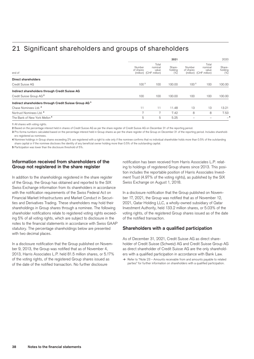### 21 Significant shareholders and groups of shareholders

|                                                                   |                     | 2021                                                 |                          |                     |                                                      | 2020                     |  |  |
|-------------------------------------------------------------------|---------------------|------------------------------------------------------|--------------------------|---------------------|------------------------------------------------------|--------------------------|--|--|
| end of                                                            | Number<br>of shares | Total<br>nominal<br>value<br>(million) (CHF million) | Share-<br>holding<br>(%) | Number<br>of shares | Total<br>nominal<br>value<br>(million) (CHF million) | Share-<br>holding<br>(%) |  |  |
| Direct shareholders                                               |                     |                                                      |                          |                     |                                                      |                          |  |  |
| Credit Suisse AG                                                  | 100 <sup>1</sup>    | 100                                                  | 100.00                   | 100 <sup>1</sup>    | 100                                                  | 100.00                   |  |  |
| Indirect shareholders through Credit Suisse AG                    |                     |                                                      |                          |                     |                                                      |                          |  |  |
| Credit Suisse Group AG <sup>2</sup>                               | 100                 | 100                                                  | 100.00                   | 100                 | 100                                                  | 100.00                   |  |  |
| Indirect shareholders through Credit Suisse Group AG <sup>3</sup> |                     |                                                      |                          |                     |                                                      |                          |  |  |
| Chase Nominees Ltd. 4                                             | 11                  | 11                                                   | 11.48                    | 13                  | 13                                                   | 13.21                    |  |  |
| Nortrust Nominees Ltd. 4                                          |                     | 7                                                    | 7.42                     | 8                   | 8                                                    | 7.53                     |  |  |
| The Bank of New York Mellon <sup>4</sup>                          | 5                   | 5                                                    | 5.25                     |                     |                                                      |                          |  |  |

**1** All shares with voting rights.

**2** Based on the percentage interest held in shares of Credit Suisse AG as per the share register of Credit Suisse AG on December 31 of the reporting period.

**3** Pro-forma numbers calculated based on the percentage interest held in Group shares as per the share register of the Group on December 31 of the reporting period. Includes shareholders registered as nominees.

**4** Nominee holdings in Group shares exceeding 2% are registered with a right to vote only if the nominee confirms that no individual shareholder holds more than 0.5% of the outstanding share capital or if the nominee discloses the identity of any beneficial owner holding more than 0.5% of the outstanding capital.

**5** Participation was lower than the disclosure threshold of 5%.

#### **Information received from shareholders of the Group not registered in the share register**

In addition to the shareholdings registered in the share register of the Group, the Group has obtained and reported to the SIX Swiss Exchange information from its shareholders in accordance with the notification requirements of the Swiss Federal Act on Financial Market Infrastructures and Market Conduct in Securities and Derivatives Trading. These shareholders may hold their shareholdings in Group shares through a nominee. The following shareholder notifications relate to registered voting rights exceeding 5% of all voting rights, which are subject to disclosure in the notes to the financial statements in accordance with Swiss GAAP statutory. The percentage shareholdings below are presented with two decimal places.

In a disclosure notification that the Group published on November 9, 2013, the Group was notified that as of November 4, 2013, Harris Associates L.P. held 81.5 million shares, or 5.17% of the voting rights, of the registered Group shares issued as of the date of the notified transaction. No further disclosure

notification has been received from Harris Associates L.P. relating to holdings of registered Group shares since 2013. This position includes the reportable position of Harris Associates Investment Trust (4.97% of the voting rights), as published by the SIX Swiss Exchange on August 1, 2018.

In a disclosure notification that the Group published on November 17, 2021, the Group was notified that as of November 12, 2021, Qatar Holding LLC, a wholly-owned subsidiary of Qatar Investment Authority, held 133.2 million shares, or 5.03% of the voting rights, of the registered Group shares issued as of the date of the notified transaction.

#### **Shareholders with a qualified participation**

As of December 31, 2021, Credit Suisse AG as direct shareholder of Credit Suisse (Schweiz) AG and Credit Suisse Group AG as direct shareholder of Credit Suisse AG are the only shareholders with a qualified participation in accordance with Bank Law.

 $\rightarrow$  Refer to "Note 23 – Amounts receivable from and amounts payable to related parties" for further information on shareholders with a qualified participation.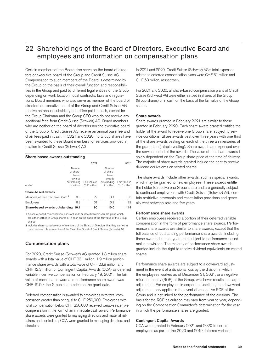### 22 Shareholdings of the Board of Directors, Executive Board and employees and information on compensation plans

Certain members of the Board also serve on the board of directors or executive board of the Group and Credit Suisse AG. Compensation to such members of the Board is determined by the Group on the basis of their overall function and responsibilities in the Group and paid by different legal entities of the Group depending on work location, local contracts, laws and regulations. Board members who also serve as member of the board of directors or executive board of the Group and Credit Suisse AG receive an annual subsidiary board fee paid in cash, except for the Group Chairman and the Group CEO who do not receive any additional fees from Credit Suisse (Schweiz) AG. Board members who are neither on the board of directors nor the executive board of the Group or Credit Suisse AG receive an annual base fee and chair fees paid in cash. In 2021 and 2020, no Group shares have been awarded to these Board members for services provided in relation to Credit Suisse (Schweiz) AG.

#### **Share-based awards outstanding**

|                                             |                                                                     | 2021                         |                                                                     | 2020                         |
|---------------------------------------------|---------------------------------------------------------------------|------------------------------|---------------------------------------------------------------------|------------------------------|
| end of                                      | Number<br>of share-<br>based<br>awards<br>outstanding<br>in million | Fair value in<br>CHF million | Number<br>of share-<br>based<br>awards<br>outstanding<br>in million | Fair value in<br>CHF million |
| Share-based awards <sup>1</sup>             |                                                                     |                              |                                                                     |                              |
| Members of the Executive Board <sup>2</sup> | 3.3                                                                 | 29                           | 3.1                                                                 | 35                           |
| Employees                                   | 6.8                                                                 | 61                           | 6.9                                                                 | 79                           |
| Share-based awards outstanding 10.1         |                                                                     | 90                           | 10.0                                                                | 114                          |

**1** All share-based compensation plans of Credit Suisse (Schweiz) AG are plans which are either settled in Group shares or in cash on the basis of the fair value of the Group shares.

**2** Includes share-based awards of members of the Board of Directors that they earned in their previous role as member of the Executive Board of Credit Suisse (Schweiz) AG.

#### **Compensation plans**

For 2020, Credit Suisse (Schweiz) AG granted 1.8 million share awards with a total value of CHF 23.1 million, 1.9 million performance share awards with a total value of CHF 23.9 million and CHF 12.3 million of Contingent Capital Awards (CCA) as deferred variable incentive compensation on February 19, 2021. The fair value of each share award and performance share award was CHF 12.59, the Group share price on the grant date.

Deferred compensation is awarded to employees with total compensation greater than or equal to CHF 250,000. Employees with total compensation below CHF 250,000 received variable incentive compensation in the form of an immediate cash award. Performance share awards were granted to managing directors and material risk takers and controllers; CCA were granted to managing directors and directors.

In 2021 and 2020, Credit Suisse (Schweiz) AG's total expenses related to deferred compensation plans were CHF 31 million and CHF 53 million, respectively.

For 2021 and 2020, all share-based compensation plans of Credit Suisse (Schweiz) AG were either settled in shares of the Group (Group shares) or in cash on the basis of the fair value of the Group shares.

#### **Share awards**

Share awards granted in February 2021 are similar to those granted in February 2020. Each share award granted entitles the holder of the award to receive one Group share, subject to service conditions. Share awards vest over three years with one third of the share awards vesting on each of the three anniversaries of the grant date (ratable vesting). Share awards are expensed over the service period of the awards. The value of the share awards is solely dependent on the Group share price at the time of delivery. The majority of share awards granted include the right to receive dividend equivalents on vested shares.

The share awards include other awards, such as special awards, which may be granted to new employees. These awards entitle the holder to receive one Group share and are generally subject to continued employment with Credit Suisse (Schweiz) AG, contain restrictive covenants and cancellation provisions and generally vest between zero and five years.

#### **Performance share awards**

Certain employees received a portion of their deferred variable compensation in the form of performance share awards. Performance share awards are similar to share awards, except that the full balance of outstanding performance share awards, including those awarded in prior years, are subject to performance-based malus provisions. The majority of performance share awards granted include the right to receive dividend equivalents on vested shares.

Performance share awards are subject to a downward adjustment in the event of a divisional loss by the division in which the employees worked as of December 31, 2021, or a negative return on equity (ROE) of the Group, whichever results in a larger adjustment. For employees in corporate functions, the downward adjustment only applies in the event of a negative ROE of the Group and is not linked to the performance of the divisions. The basis for the ROE calculation may vary from year to year, depending on the Compensation Committee's determination for the year in which the performance shares are granted.

#### **Contingent Capital Awards**

CCA were granted in February 2021 and 2020 to certain employees as part of the 2020 and 2019 deferred variable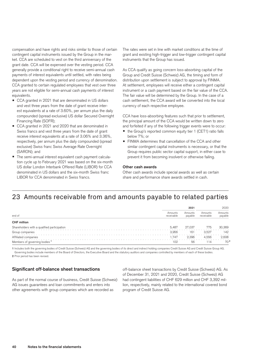compensation and have rights and risks similar to those of certain contingent capital instruments issued by the Group in the market. CCA are scheduled to vest on the third anniversary of the grant date. CCA will be expensed over the vesting period. CCA generally provide a conditional right to receive semi-annual cash payments of interest equivalents until settled, with rates being dependent upon the vesting period and currency of denomination. CCA granted to certain regulated employees that vest over three years are not eligible for semi-annual cash payments of interest equivalents.

- CCA granted in 2021 that are denominated in US dollars and vest three years from the date of grant receive interest equivalents at a rate of 3.60%, per annum plus the daily compounded (spread exclusive) US dollar Secured Overnight Financing Rate (SOFR);
- CCA granted in 2021 and 2020 that are denominated in Swiss francs and vest three years from the date of grant receive interest equivalents at a rate of 3.06% and 3.36%, respectively, per annum plus the daily compounded (spread exclusive) Swiss franc Swiss Average Rate Overnight (SARON); and
- The semi-annual interest equivalent cash payment calculation cycle up to February 2021 was based on the six-month US dollar London Interbank Offered Rate (LIBOR) for CCA denominated in US dollars and the six-month Swiss franc LIBOR for CCA denominated in Swiss francs.

The rates were set in line with market conditions at the time of grant and existing high-trigger and low-trigger contingent capital instruments that the Group has issued.

As CCA qualify as going concern loss-absorbing capital of the Group and Credit Suisse (Schweiz) AG, the timing and form of distribution upon settlement is subject to approval by FINMA. At settlement, employees will receive either a contingent capital instrument or a cash payment based on the fair value of the CCA. The fair value will be determined by the Group. In the case of a cash settlement, the CCA award will be converted into the local currency of each respective employee.

CCA have loss-absorbing features such that prior to settlement, the principal amount of the CCA would be written down to zero and forfeited if any of the following trigger events were to occur:

- the Group's reported common equity tier 1 (CET1) ratio falls below 7%; or
- **FINMA determines that cancellation of the CCA and other** similar contingent capital instruments is necessary, or that the Group requires public sector capital support, in either case to prevent it from becoming insolvent or otherwise failing.

#### **Other cash awards**

Other cash awards include special awards as well as certain share and performance share awards settled in cash.

### 23 Amounts receivable from and amounts payable to related parties

|                                             |                       | 2021               |                       | 2020               |  |
|---------------------------------------------|-----------------------|--------------------|-----------------------|--------------------|--|
| end of                                      | Amounts<br>receivable | Amounts<br>payable | Amounts<br>receivable | Amounts<br>payable |  |
| <b>CHF</b> million                          |                       |                    |                       |                    |  |
| Shareholders with a qualified participation | 5.487                 | 27.037             | 775                   | 30,369             |  |
| Group companies                             | 3.956                 | 161                | 3.527                 | 142                |  |
| Affiliated companies                        | 1.747                 | 2.396              | 4.556                 | 2,608              |  |
| Members of governing bodies <sup>1</sup>    | 102                   | 56                 |                       | 703                |  |

**1** Includes both the governing bodies of Credit Suisse (Schweiz) AG and the governing bodies of its direct and indirect holding companies Credit Suisse AG and Credit Suisse Group AG. Governing bodies include members of the Board of Directors, the Executive Board and the statutory auditors and companies controlled by members of each of these bodies.

**2** Prior period has been revised.

#### **Significant off-balance sheet transactions**

As part of the normal course of business, Credit Suisse (Schweiz) AG issues guarantees and loan commitments and enters into other agreements with group companies which are recorded as

off-balance sheet transactions by Credit Suisse (Schweiz) AG. As of December 31, 2021 and 2020, Credit Suisse (Schweiz) AG had contingent liabilities of CHF 629 million and CHF 3,392 million, respectively, mainly related to the international covered bond program of Credit Suisse AG.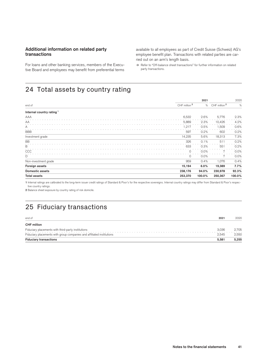#### **Additional information on related party transactions**

For loans and other banking services, members of the Executive Board and employees may benefit from preferential terms available to all employees as part of Credit Suisse (Schweiz) AG's employee benefit plan. Transactions with related parties are carried out on an arm's length basis.

> Refer to "Off-balance sheet transactions" for further information on related party transactions.

### 24 Total assets by country rating

|                                      | 2021                     |        |                          | 2020   |  |  |
|--------------------------------------|--------------------------|--------|--------------------------|--------|--|--|
| end of                               | CHF million <sup>2</sup> | %      | CHF million <sup>2</sup> | %      |  |  |
| Internal country rating <sup>1</sup> |                          |        |                          |        |  |  |
| AAA                                  | 6,532                    | 2.6%   | 5,776                    | 2.3%   |  |  |
| AA                                   | 5,889                    | 2.3%   | 10,426                   | 4.2%   |  |  |
| А                                    | 1,217                    | 0.5%   | 1,509                    | 0.6%   |  |  |
| <b>BBB</b>                           | 597                      | 0.2%   | 602                      | 0.2%   |  |  |
| Investment grade                     | 14,235                   | 5.6%   | 18,313                   | 7.3%   |  |  |
| <b>BB</b>                            | 326                      | 0.1%   | 511                      | 0.2%   |  |  |
| B                                    | 633                      | 0.3%   | 551                      | 0.2%   |  |  |
| CCC                                  | $\Omega$                 | 0.0%   | 7                        | 0.0%   |  |  |
| D                                    | $\Omega$                 | 0.0%   | 7                        | 0.0%   |  |  |
| Non-investment grade                 | 959                      | 0.4%   | 1,076                    | 0.4%   |  |  |
| Foreign assets                       | 15,194                   | 6.0%   | 19,389                   | 7.7%   |  |  |
| Domestic assets                      | 238,176                  | 94.0%  | 230,978                  | 92.3%  |  |  |
| <b>Total assets</b>                  | 253,370                  | 100.0% | 250,367                  | 100.0% |  |  |

**1** Internal ratings are calibrated to the long-term issuer credit ratings of Standard & Poor's for the respective sovereigns. Internal country ratings may differ from Standard & Poor's respective country ratings.

**2** Balance sheet exposure by country rating of risk domicile.

### 25 Fiduciary transactions

| end of                                                                | 2021  | 2020  |
|-----------------------------------------------------------------------|-------|-------|
| <b>CHF</b> million                                                    |       |       |
| Fiduciary placements with third-party institutions                    | 3.036 | 2.705 |
| Fiduciary placements with group companies and affiliated institutions | 2.545 | 2.550 |
| <b>Fiduciary transactions</b>                                         | 5.581 | 5.255 |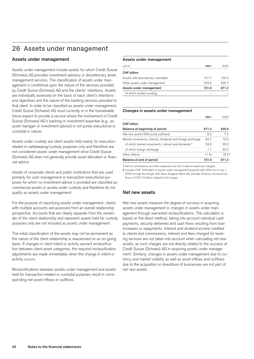### 26 Assets under management

### **Assets under management**

Assets under management include assets for which Credit Suisse (Schweiz) AG provides investment advisory or discretionary asset management services. The classification of assets under management is conditional upon the nature of the services provided by Credit Suisse (Schweiz) AG and the clients' intentions. Assets are individually assessed on the basis of each client's intentions and objectives and the nature of the banking services provided to that client. In order to be classified as assets under management, Credit Suisse (Schweiz) AG must currently or in the foreseeable future expect to provide a service where the involvement of Credit Suisse (Schweiz) AG's banking or investment expertise (e.g., as asset manager or investment advisor) is not purely executional or custodial in nature.

Assets under custody are client assets held mainly for executionrelated or safekeeping/custody purposes only and therefore are not considered assets under management since Credit Suisse (Schweiz) AG does not generally provide asset allocation or financial advice.

Assets of corporate clients and public institutions that are used primarily for cash management or transaction executional purposes for which no investment advice is provided are classified as commercial assets or assets under custody and therefore do not qualify as assets under management.

For the purpose of classifying assets under management, clients with multiple accounts are assessed from an overall relationship perspective. Accounts that are clearly separate from the remainder of the client relationship and represent assets held for custody purposes only are not included as assets under management.

The initial classification of the assets may not be permanent as the nature of the client relationship is reassessed on an on-going basis. If changes in client intent or activity warrant reclassification between client asset categories, the required reclassification adjustments are made immediately when the change in intent or activity occurs.

Reclassifications between assets under management and assets held for transaction-related or custodial purposes result in corresponding net asset inflows or outflows.

#### **Assets under management**

| end of                             | 2021  | 2020  |
|------------------------------------|-------|-------|
| <b>CHF billion</b>                 |       |       |
| Assets with discretionary mandates | 151.7 | 145.5 |
| Other assets under management      | 579.3 | 525.7 |
| Assets under management            | 731.0 | 671.2 |
| of which double counting           |       |       |

#### **Changes in assets under management**

|                                                                | 2021  | 2020              |
|----------------------------------------------------------------|-------|-------------------|
| <b>CHF billion</b>                                             |       |                   |
| Balance at beginning of period                                 | 671.2 | 635.0             |
| Net new assets/(Net asset outflows)                            | 6.5   | 7.4               |
| Market movements, interest, dividends and foreign exchange     | 54.7  | 10.5              |
| of which market movements, interest and dividends <sup>1</sup> | 53.6  | 20.2              |
| of which foreign exchange                                      | 1.1   | (9.7)             |
| Other effects                                                  | (1.4) | 18.3 <sup>2</sup> |
| Balance at end of period                                       | 731.0 | 671.2             |

**1** Net of commissions and other expenses and net of interest expenses charged.

**2** Includes CHF 18.8 billion of assets under management acquired with effect as of July 1, 2020 through the merger with Neue Aargauer Bank AG, partially offset by structural outflows of CHF 0.5 billion related to this merger.

#### **Net new assets**

Net new assets measure the degree of success in acquiring assets under management or changes in assets under management through warranted reclassifications. The calculation is based on the direct method, taking into account individual cash payments, security deliveries and cash flows resulting from loan increases or repayments. Interest and dividend income credited to clients and commissions, interest and fees charged for banking services are not taken into account when calculating net new assets, as such charges are not directly related to the success of Credit Suisse (Schweiz) AG in acquiring assets under management. Similarly, changes in assets under management due to currency and market volatility as well as asset inflows and outflows due to the acquisition or divestiture of businesses are not part of net new assets.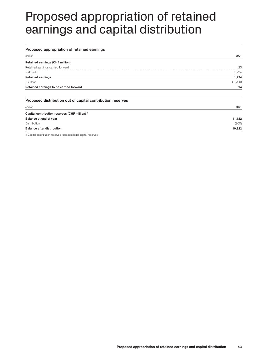## <span id="page-44-0"></span>Proposed appropriation of retained earnings and capital distribution

| Proposed appropriation of retained earnings                |         |
|------------------------------------------------------------|---------|
| end of                                                     | 2021    |
| Retained earnings (CHF million)                            |         |
| Retained earnings carried forward                          | 20      |
| Net profit                                                 | 1,274   |
| <b>Retained earnings</b>                                   | 1,294   |
| Dividend                                                   | (1,200) |
| Retained earnings to be carried forward                    | 94      |
| Proposed distribution out of capital contribution reserves |         |
| end of                                                     | 2021    |
| Capital contribution reserves (CHF million) <sup>1</sup>   |         |
| Balance at end of year                                     | 11,122  |
| <b>Distribution</b>                                        | (300)   |
| <b>Balance after distribution</b>                          | 10,822  |

**1** Capital contribution reserves represent legal capital reserves.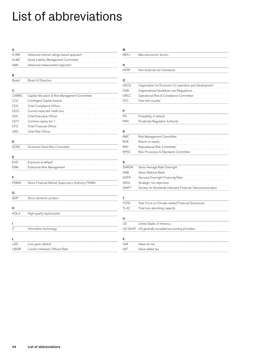## <span id="page-45-0"></span>List of abbreviations

| А            |                                                    | М            |                                                             |
|--------------|----------------------------------------------------|--------------|-------------------------------------------------------------|
| A-IRB        | Advanced internal ratings-based approach           | <b>MEFs</b>  | Macroeconomic factors                                       |
| <b>ALMC</b>  | Asset Liability Management Committee               |              |                                                             |
| AMA          | Advanced measurement approach                      | N            |                                                             |
|              |                                                    | <b>NFRF</b>  | Non-financial risk framework                                |
| в            |                                                    |              |                                                             |
| Board        | Board of Directors                                 | o            |                                                             |
|              |                                                    | OECD         | Organization for Economic Co-operation and Development      |
| с            |                                                    | <b>OGR</b>   | Organizational Guidelines and Regulations                   |
| CARMC        | Capital Allocation & Risk Management Committee     | ORCC         | Operational Risk & Compliance Committee                     |
| <b>CCA</b>   | Contingent Capital Awards                          | <b>OTC</b>   | Over-the-counter                                            |
| CCO          | Chief Compliance Officer                           |              |                                                             |
| <b>CECL</b>  | Current expected credit loss                       | P            |                                                             |
| CEO          | Chief Executive Officer                            | PD           | Probability of default                                      |
| CET1         | Common equity tier 1                               | <b>PRA</b>   | Prudential Regulation Authority                             |
| CFO          | Chief Financial Officer                            |              |                                                             |
| <b>CRO</b>   | Chief Risk Officer                                 | R            |                                                             |
|              |                                                    | <b>RMC</b>   | Risk Management Committee                                   |
| D            |                                                    | <b>ROE</b>   | Return on equity                                            |
| <b>DCRC</b>  | Divisional Client Risk Committee                   | <b>RRC</b>   | Reputational Risk Committee                                 |
|              |                                                    | <b>RPSC</b>  | Risk Processes & Standards Committee                        |
| Е            |                                                    |              |                                                             |
| EAD          | Exposure at default                                | s            |                                                             |
| <b>ERM</b>   | Enterprise Risk Management                         | <b>SARON</b> | Swiss Average Rate Overnight                                |
|              |                                                    | <b>SNB</b>   | Swiss National Bank                                         |
| F            |                                                    | <b>SOFR</b>  | Secured Overnight Financing Rate                            |
| <b>FINMA</b> | Swiss Financial Market Supervisory Authority FINMA | <b>SROs</b>  | Strategic risk objectives                                   |
|              |                                                    | <b>SWIFT</b> | Society for Worldwide Interbank Financial Telecommunication |
| G            |                                                    |              |                                                             |
| GDP          | Gross domestic product                             | т            |                                                             |
|              |                                                    | <b>TCFD</b>  | Task Force on Climate-related Financial Disclosures         |
| н            |                                                    | <b>TLAC</b>  | Total loss absorbing capacity                               |
| <b>HOLA</b>  | High-quality liquid assets                         |              |                                                             |
|              |                                                    | U            |                                                             |
| ı            |                                                    | US           | United States of America                                    |
| IT           | Information technology                             | US GAAP      | US generally accepted accounting principles                 |
|              |                                                    |              |                                                             |
| L            |                                                    | ٧            |                                                             |
| <b>LGD</b>   | Loss given default                                 | VaR          | Value-at-risk                                               |
| <b>LIBOR</b> | London Interbank Offered Rate                      | VAT          | Value added tax                                             |
|              |                                                    |              |                                                             |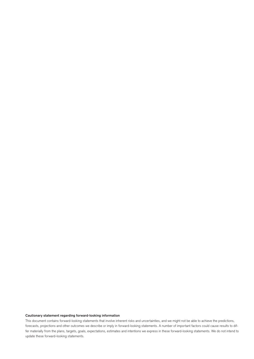#### **Cautionary statement regarding forward-looking information**

This document contains forward-looking statements that involve inherent risks and uncertainties, and we might not be able to achieve the predictions, forecasts, projections and other outcomes we describe or imply in forward-looking statements. A number of important factors could cause results to differ materially from the plans, targets, goals, expectations, estimates and intentions we express in these forward-looking statements. We do not intend to update these forward-looking statements.